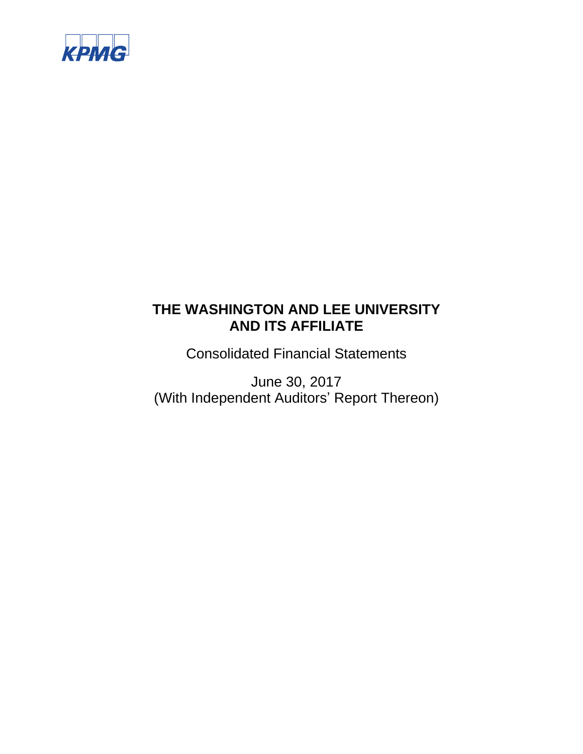

Consolidated Financial Statements

June 30, 2017 (With Independent Auditors' Report Thereon)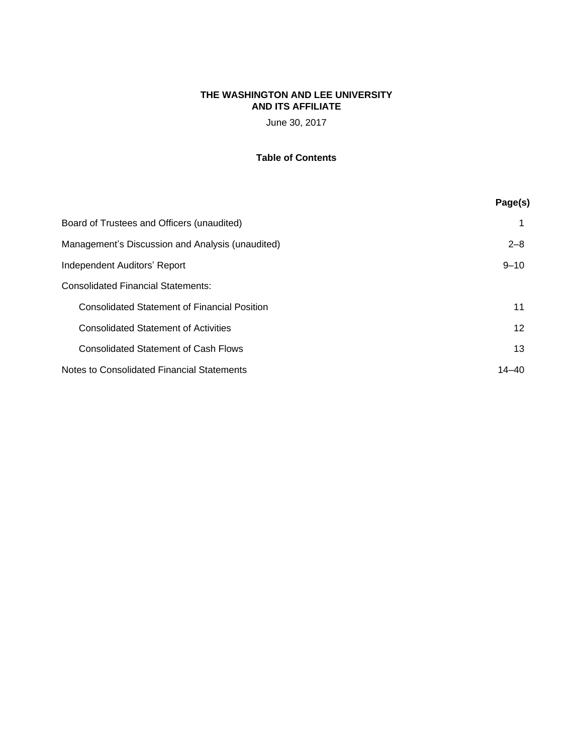June 30, 2017

# **Table of Contents**

|                                                     | Page(s)  |
|-----------------------------------------------------|----------|
| Board of Trustees and Officers (unaudited)          | 1        |
| Management's Discussion and Analysis (unaudited)    | $2 - 8$  |
| Independent Auditors' Report                        | $9 - 10$ |
| <b>Consolidated Financial Statements:</b>           |          |
| <b>Consolidated Statement of Financial Position</b> | 11       |
| <b>Consolidated Statement of Activities</b>         | 12       |
| <b>Consolidated Statement of Cash Flows</b>         | 13       |
| Notes to Consolidated Financial Statements          | 14–40    |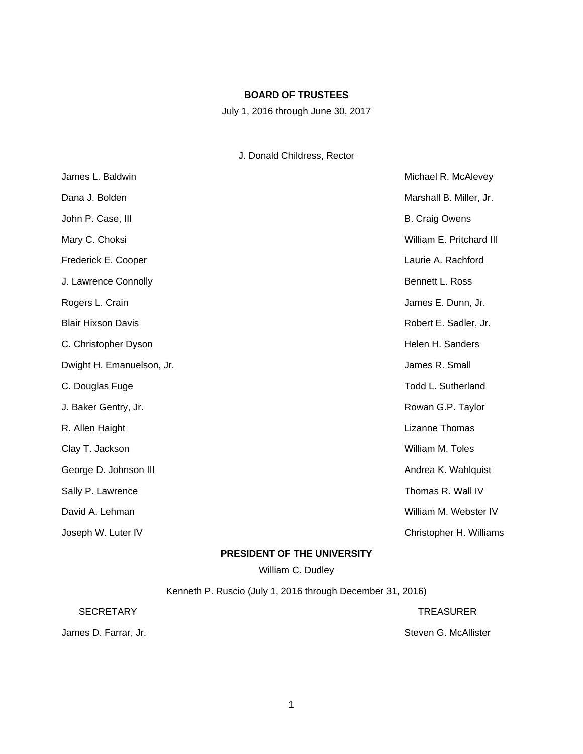# **BOARD OF TRUSTEES**

July 1, 2016 through June 30, 2017

# J. Donald Childress, Rector

| James L. Baldwin          | Michael R. McAlevey       |
|---------------------------|---------------------------|
| Dana J. Bolden            | Marshall B. Miller, Jr.   |
| John P. Case, III         | <b>B.</b> Craig Owens     |
| Mary C. Choksi            | William E. Pritchard III  |
| Frederick E. Cooper       | Laurie A. Rachford        |
| J. Lawrence Connolly      | Bennett L. Ross           |
| Rogers L. Crain           | James E. Dunn, Jr.        |
| <b>Blair Hixson Davis</b> | Robert E. Sadler, Jr.     |
| C. Christopher Dyson      | Helen H. Sanders          |
| Dwight H. Emanuelson, Jr. | James R. Small            |
| C. Douglas Fuge           | <b>Todd L. Sutherland</b> |
| J. Baker Gentry, Jr.      | Rowan G.P. Taylor         |
| R. Allen Haight           | Lizanne Thomas            |
| Clay T. Jackson           | William M. Toles          |
| George D. Johnson III     | Andrea K. Wahlquist       |
| Sally P. Lawrence         | Thomas R. Wall IV         |
| David A. Lehman           | William M. Webster IV     |
| Joseph W. Luter IV        | Christopher H. Williams   |

# **PRESIDENT OF THE UNIVERSITY**

William C. Dudley

Kenneth P. Ruscio (July 1, 2016 through December 31, 2016)

SECRETARY TREASURER TREASURER

James D. Farrar, Jr. Steven G. McAllister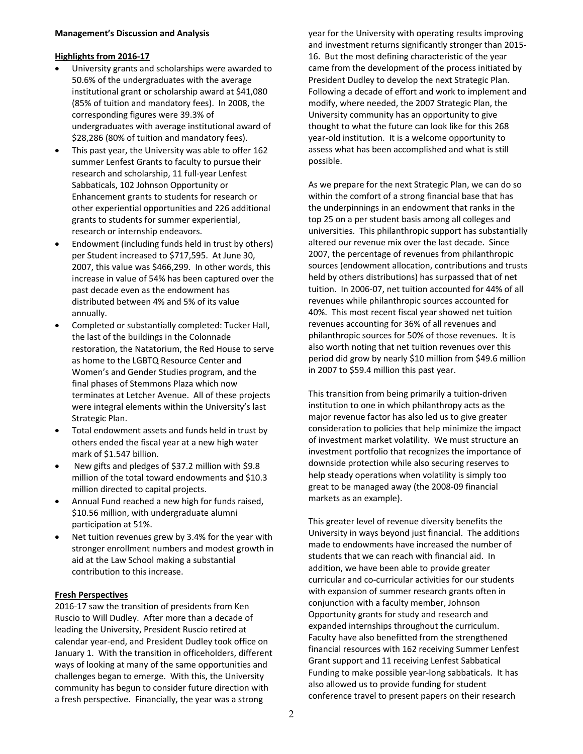# **Highlights from 2016‐17**

- University grants and scholarships were awarded to 50.6% of the undergraduates with the average institutional grant or scholarship award at \$41,080 (85% of tuition and mandatory fees). In 2008, the corresponding figures were 39.3% of undergraduates with average institutional award of \$28,286 (80% of tuition and mandatory fees).
- This past year, the University was able to offer 162 summer Lenfest Grants to faculty to pursue their research and scholarship, 11 full‐year Lenfest Sabbaticals, 102 Johnson Opportunity or Enhancement grants to students for research or other experiential opportunities and 226 additional grants to students for summer experiential, research or internship endeavors.
- Endowment (including funds held in trust by others) per Student increased to \$717,595. At June 30, 2007, this value was \$466,299. In other words, this increase in value of 54% has been captured over the past decade even as the endowment has distributed between 4% and 5% of its value annually.
- Completed or substantially completed: Tucker Hall, the last of the buildings in the Colonnade restoration, the Natatorium, the Red House to serve as home to the LGBTQ Resource Center and Women's and Gender Studies program, and the final phases of Stemmons Plaza which now terminates at Letcher Avenue. All of these projects were integral elements within the University's last Strategic Plan.
- Total endowment assets and funds held in trust by others ended the fiscal year at a new high water mark of \$1.547 billion.
- New gifts and pledges of \$37.2 million with \$9.8 million of the total toward endowments and \$10.3 million directed to capital projects.
- Annual Fund reached a new high for funds raised, \$10.56 million, with undergraduate alumni participation at 51%.
- Net tuition revenues grew by 3.4% for the year with stronger enrollment numbers and modest growth in aid at the Law School making a substantial contribution to this increase.

# **Fresh Perspectives**

2016‐17 saw the transition of presidents from Ken Ruscio to Will Dudley. After more than a decade of leading the University, President Ruscio retired at calendar year‐end, and President Dudley took office on January 1. With the transition in officeholders, different ways of looking at many of the same opportunities and challenges began to emerge. With this, the University community has begun to consider future direction with a fresh perspective. Financially, the year was a strong

year for the University with operating results improving and investment returns significantly stronger than 2015‐ 16. But the most defining characteristic of the year came from the development of the process initiated by President Dudley to develop the next Strategic Plan. Following a decade of effort and work to implement and modify, where needed, the 2007 Strategic Plan, the University community has an opportunity to give thought to what the future can look like for this 268 year‐old institution. It is a welcome opportunity to assess what has been accomplished and what is still possible.

As we prepare for the next Strategic Plan, we can do so within the comfort of a strong financial base that has the underpinnings in an endowment that ranks in the top 25 on a per student basis among all colleges and universities. This philanthropic support has substantially altered our revenue mix over the last decade. Since 2007, the percentage of revenues from philanthropic sources (endowment allocation, contributions and trusts held by others distributions) has surpassed that of net tuition. In 2006‐07, net tuition accounted for 44% of all revenues while philanthropic sources accounted for 40%. This most recent fiscal year showed net tuition revenues accounting for 36% of all revenues and philanthropic sources for 50% of those revenues. It is also worth noting that net tuition revenues over this period did grow by nearly \$10 million from \$49.6 million in 2007 to \$59.4 million this past year.

This transition from being primarily a tuition‐driven institution to one in which philanthropy acts as the major revenue factor has also led us to give greater consideration to policies that help minimize the impact of investment market volatility. We must structure an investment portfolio that recognizes the importance of downside protection while also securing reserves to help steady operations when volatility is simply too great to be managed away (the 2008‐09 financial markets as an example).

This greater level of revenue diversity benefits the University in ways beyond just financial. The additions made to endowments have increased the number of students that we can reach with financial aid. In addition, we have been able to provide greater curricular and co‐curricular activities for our students with expansion of summer research grants often in conjunction with a faculty member, Johnson Opportunity grants for study and research and expanded internships throughout the curriculum. Faculty have also benefitted from the strengthened financial resources with 162 receiving Summer Lenfest Grant support and 11 receiving Lenfest Sabbatical Funding to make possible year‐long sabbaticals. It has also allowed us to provide funding for student conference travel to present papers on their research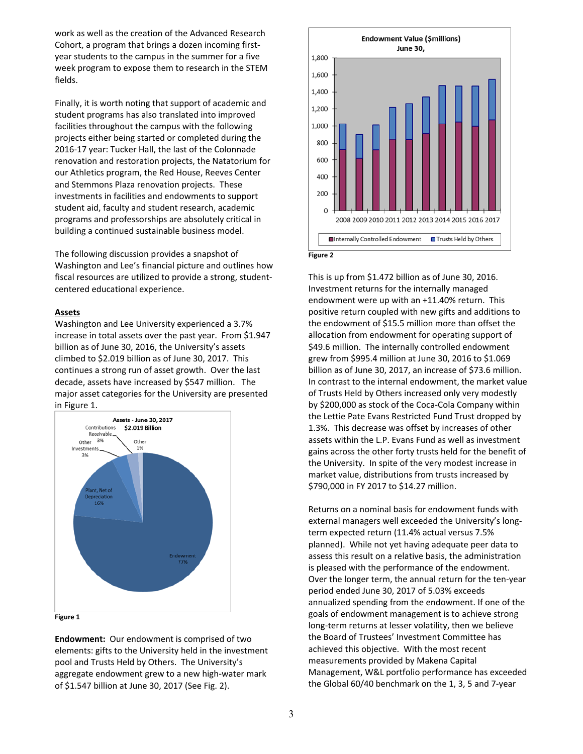work as well as the creation of the Advanced Research Cohort, a program that brings a dozen incoming first‐ year students to the campus in the summer for a five week program to expose them to research in the STEM fields.

Finally, it is worth noting that support of academic and student programs has also translated into improved facilities throughout the campus with the following projects either being started or completed during the 2016‐17 year: Tucker Hall, the last of the Colonnade renovation and restoration projects, the Natatorium for our Athletics program, the Red House, Reeves Center and Stemmons Plaza renovation projects. These investments in facilities and endowments to support student aid, faculty and student research, academic programs and professorships are absolutely critical in building a continued sustainable business model.

The following discussion provides a snapshot of Washington and Lee's financial picture and outlines how fiscal resources are utilized to provide a strong, student‐ centered educational experience.

#### **Assets**

Washington and Lee University experienced a 3.7% increase in total assets over the past year. From \$1.947 billion as of June 30, 2016, the University's assets climbed to \$2.019 billion as of June 30, 2017. This continues a strong run of asset growth. Over the last decade, assets have increased by \$547 million. The major asset categories for the University are presented in Figure 1.



#### **Figure 1**

**Endowment:** Our endowment is comprised of two elements: gifts to the University held in the investment pool and Trusts Held by Others. The University's aggregate endowment grew to a new high‐water mark of \$1.547 billion at June 30, 2017 (See Fig. 2).



This is up from \$1.472 billion as of June 30, 2016. Investment returns for the internally managed endowment were up with an +11.40% return. This positive return coupled with new gifts and additions to the endowment of \$15.5 million more than offset the allocation from endowment for operating support of \$49.6 million. The internally controlled endowment grew from \$995.4 million at June 30, 2016 to \$1.069 billion as of June 30, 2017, an increase of \$73.6 million. In contrast to the internal endowment, the market value of Trusts Held by Others increased only very modestly by \$200,000 as stock of the Coca‐Cola Company within the Lettie Pate Evans Restricted Fund Trust dropped by 1.3%. This decrease was offset by increases of other assets within the L.P. Evans Fund as well as investment gains across the other forty trusts held for the benefit of the University. In spite of the very modest increase in market value, distributions from trusts increased by \$790,000 in FY 2017 to \$14.27 million.

Returns on a nominal basis for endowment funds with external managers well exceeded the University's long‐ term expected return (11.4% actual versus 7.5% planned). While not yet having adequate peer data to assess this result on a relative basis, the administration is pleased with the performance of the endowment. Over the longer term, the annual return for the ten‐year period ended June 30, 2017 of 5.03% exceeds annualized spending from the endowment. If one of the goals of endowment management is to achieve strong long‐term returns at lesser volatility, then we believe the Board of Trustees' Investment Committee has achieved this objective. With the most recent measurements provided by Makena Capital Management, W&L portfolio performance has exceeded the Global 60/40 benchmark on the 1, 3, 5 and 7‐year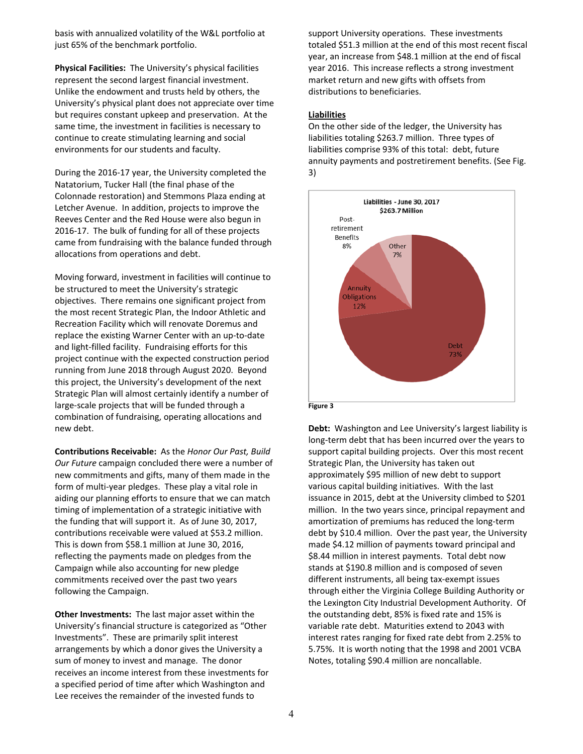basis with annualized volatility of the W&L portfolio at just 65% of the benchmark portfolio.

**Physical Facilities:** The University's physical facilities represent the second largest financial investment. Unlike the endowment and trusts held by others, the University's physical plant does not appreciate over time but requires constant upkeep and preservation. At the same time, the investment in facilities is necessary to continue to create stimulating learning and social environments for our students and faculty.

During the 2016‐17 year, the University completed the Natatorium, Tucker Hall (the final phase of the Colonnade restoration) and Stemmons Plaza ending at Letcher Avenue. In addition, projects to improve the Reeves Center and the Red House were also begun in 2016‐17. The bulk of funding for all of these projects came from fundraising with the balance funded through allocations from operations and debt.

Moving forward, investment in facilities will continue to be structured to meet the University's strategic objectives. There remains one significant project from the most recent Strategic Plan, the Indoor Athletic and Recreation Facility which will renovate Doremus and replace the existing Warner Center with an up‐to‐date and light‐filled facility. Fundraising efforts for this project continue with the expected construction period running from June 2018 through August 2020. Beyond this project, the University's development of the next Strategic Plan will almost certainly identify a number of large‐scale projects that will be funded through a combination of fundraising, operating allocations and new debt.

**Contributions Receivable:** As the *Honor Our Past, Build Our Future* campaign concluded there were a number of new commitments and gifts, many of them made in the form of multi‐year pledges. These play a vital role in aiding our planning efforts to ensure that we can match timing of implementation of a strategic initiative with the funding that will support it. As of June 30, 2017, contributions receivable were valued at \$53.2 million. This is down from \$58.1 million at June 30, 2016, reflecting the payments made on pledges from the Campaign while also accounting for new pledge commitments received over the past two years following the Campaign.

**Other Investments:** The last major asset within the University's financial structure is categorized as "Other Investments". These are primarily split interest arrangements by which a donor gives the University a sum of money to invest and manage. The donor receives an income interest from these investments for a specified period of time after which Washington and Lee receives the remainder of the invested funds to

support University operations. These investments totaled \$51.3 million at the end of this most recent fiscal year, an increase from \$48.1 million at the end of fiscal year 2016. This increase reflects a strong investment market return and new gifts with offsets from distributions to beneficiaries.

#### **Liabilities**

On the other side of the ledger, the University has liabilities totaling \$263.7 million. Three types of liabilities comprise 93% of this total: debt, future annuity payments and postretirement benefits. (See Fig. 3)





**Debt:** Washington and Lee University's largest liability is long‐term debt that has been incurred over the years to support capital building projects. Over this most recent Strategic Plan, the University has taken out approximately \$95 million of new debt to support various capital building initiatives. With the last issuance in 2015, debt at the University climbed to \$201 million. In the two years since, principal repayment and amortization of premiums has reduced the long‐term debt by \$10.4 million. Over the past year, the University made \$4.12 million of payments toward principal and \$8.44 million in interest payments. Total debt now stands at \$190.8 million and is composed of seven different instruments, all being tax‐exempt issues through either the Virginia College Building Authority or the Lexington City Industrial Development Authority. Of the outstanding debt, 85% is fixed rate and 15% is variable rate debt. Maturities extend to 2043 with interest rates ranging for fixed rate debt from 2.25% to 5.75%. It is worth noting that the 1998 and 2001 VCBA Notes, totaling \$90.4 million are noncallable.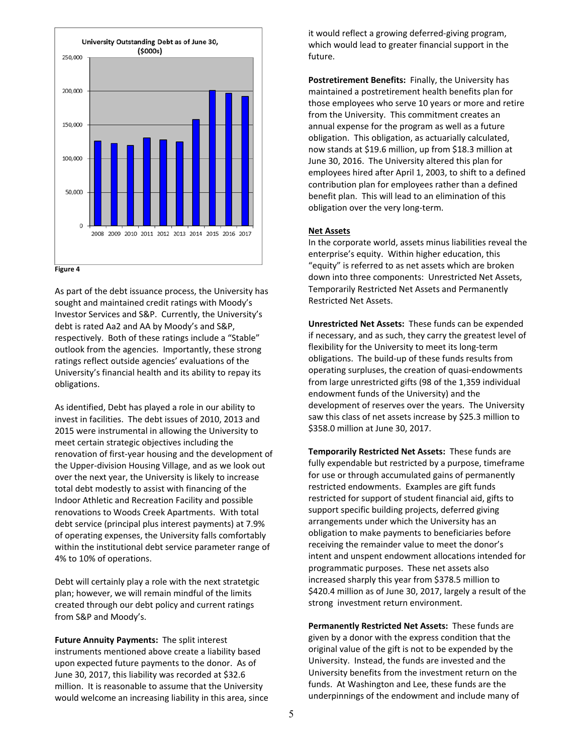

As part of the debt issuance process, the University has sought and maintained credit ratings with Moody's Investor Services and S&P. Currently, the University's debt is rated Aa2 and AA by Moody's and S&P, respectively. Both of these ratings include a "Stable" outlook from the agencies. Importantly, these strong ratings reflect outside agencies' evaluations of the University's financial health and its ability to repay its obligations.

As identified, Debt has played a role in our ability to invest in facilities. The debt issues of 2010, 2013 and 2015 were instrumental in allowing the University to meet certain strategic objectives including the renovation of first‐year housing and the development of the Upper‐division Housing Village, and as we look out over the next year, the University is likely to increase total debt modestly to assist with financing of the Indoor Athletic and Recreation Facility and possible renovations to Woods Creek Apartments. With total debt service (principal plus interest payments) at 7.9% of operating expenses, the University falls comfortably within the institutional debt service parameter range of 4% to 10% of operations.

Debt will certainly play a role with the next stratetgic plan; however, we will remain mindful of the limits created through our debt policy and current ratings from S&P and Moody's.

**Future Annuity Payments:** The split interest instruments mentioned above create a liability based upon expected future payments to the donor. As of June 30, 2017, this liability was recorded at \$32.6 million. It is reasonable to assume that the University would welcome an increasing liability in this area, since it would reflect a growing deferred‐giving program, which would lead to greater financial support in the future.

**Postretirement Benefits:** Finally, the University has maintained a postretirement health benefits plan for those employees who serve 10 years or more and retire from the University. This commitment creates an annual expense for the program as well as a future obligation. This obligation, as actuarially calculated, now stands at \$19.6 million, up from \$18.3 million at June 30, 2016. The University altered this plan for employees hired after April 1, 2003, to shift to a defined contribution plan for employees rather than a defined benefit plan. This will lead to an elimination of this obligation over the very long‐term.

#### **Net Assets**

In the corporate world, assets minus liabilities reveal the enterprise's equity. Within higher education, this "equity" is referred to as net assets which are broken down into three components: Unrestricted Net Assets, Temporarily Restricted Net Assets and Permanently Restricted Net Assets.

**Unrestricted Net Assets:** These funds can be expended if necessary, and as such, they carry the greatest level of flexibility for the University to meet its long-term obligations. The build‐up of these funds results from operating surpluses, the creation of quasi‐endowments from large unrestricted gifts (98 of the 1,359 individual endowment funds of the University) and the development of reserves over the years. The University saw this class of net assets increase by \$25.3 million to \$358.0 million at June 30, 2017.

**Temporarily Restricted Net Assets: These funds are** fully expendable but restricted by a purpose, timeframe for use or through accumulated gains of permanently restricted endowments. Examples are gift funds restricted for support of student financial aid, gifts to support specific building projects, deferred giving arrangements under which the University has an obligation to make payments to beneficiaries before receiving the remainder value to meet the donor's intent and unspent endowment allocations intended for programmatic purposes. These net assets also increased sharply this year from \$378.5 million to \$420.4 million as of June 30, 2017, largely a result of the strong investment return environment.

Permanently Restricted Net Assets: These funds are given by a donor with the express condition that the original value of the gift is not to be expended by the University. Instead, the funds are invested and the University benefits from the investment return on the funds. At Washington and Lee, these funds are the underpinnings of the endowment and include many of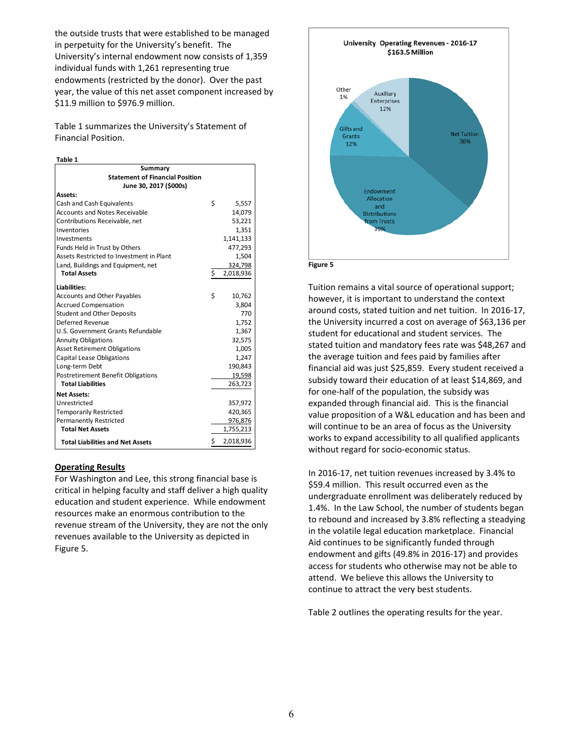the outside trusts that were established to be managed in perpetuity for the University's benefit. The University's internal endowment now consists of 1,359 individual funds with 1,261 representing true endowments (restricted by the donor). Over the past year, the value of this net asset component increased by \$11.9 million to \$976.9 million.

Table 1 summarizes the University's Statement of Financial Position.

| w<br>. .<br>۰.<br>n sa<br>۰.<br>× |  |
|-----------------------------------|--|
|-----------------------------------|--|

| Summary                                  |    |           |
|------------------------------------------|----|-----------|
| <b>Statement of Financial Position</b>   |    |           |
| June 30, 2017 (\$000s)                   |    |           |
| Assets:                                  |    |           |
| Cash and Cash Equivalents                | Ś  | 5,557     |
| <b>Accounts and Notes Receivable</b>     |    | 14.079    |
| Contributions Receivable, net            |    | 53,221    |
| Inventories                              |    | 1,351     |
| Investments                              |    | 1,141,133 |
| Funds Held in Trust by Others            |    | 477,293   |
| Assets Restricted to Investment in Plant |    | 1,504     |
| Land, Buildings and Equipment, net       |    | 324,798   |
| <b>Total Assets</b>                      | \$ | 2,018,936 |
| <b>Liabilities:</b>                      |    |           |
| <b>Accounts and Other Payables</b>       | Ś  | 10,762    |
| <b>Accrued Compensation</b>              |    | 3.804     |
| <b>Student and Other Deposits</b>        |    | 770       |
| Deferred Revenue                         |    | 1,752     |
| U.S. Government Grants Refundable        |    | 1,367     |
| <b>Annuity Obligations</b>               |    | 32,575    |
| <b>Asset Retirement Obligations</b>      |    | 1,005     |
| <b>Capital Lease Obligations</b>         |    | 1,247     |
| Long-term Debt                           |    | 190,843   |
| Postretirement Benefit Obligations       |    | 19,598    |
| <b>Total Liabilities</b>                 |    | 263,723   |
| <b>Net Assets:</b>                       |    |           |
| Unrestricted                             |    | 357,972   |
| <b>Temporarily Restricted</b>            |    | 420,365   |
| <b>Permanently Restricted</b>            |    | 976,876   |
| <b>Total Net Assets</b>                  |    | 1,755,213 |
|                                          |    |           |
| <b>Total Liabilities and Net Assets</b>  | \$ | 2,018,936 |

#### **Operating Results**

For Washington and Lee, this strong financial base is critical in helping faculty and staff deliver a high quality education and student experience. While endowment resources make an enormous contribution to the revenue stream of the University, they are not the only revenues available to the University as depicted in Figure 5.



Tuition remains a vital source of operational support; however, it is important to understand the context around costs, stated tuition and net tuition. In 2016‐17, the University incurred a cost on average of \$63,136 per student for educational and student services. The stated tuition and mandatory fees rate was \$48,267 and the average tuition and fees paid by families after financial aid was just \$25,859. Every student received a subsidy toward their education of at least \$14,869, and for one-half of the population, the subsidy was expanded through financial aid. This is the financial value proposition of a W&L education and has been and will continue to be an area of focus as the University works to expand accessibility to all qualified applicants without regard for socio‐economic status.

In 2016‐17, net tuition revenues increased by 3.4% to \$59.4 million. This result occurred even as the undergraduate enrollment was deliberately reduced by 1.4%. In the Law School, the number of students began to rebound and increased by 3.8% reflecting a steadying in the volatile legal education marketplace. Financial Aid continues to be significantly funded through endowment and gifts (49.8% in 2016‐17) and provides access for students who otherwise may not be able to attend. We believe this allows the University to continue to attract the very best students.

Table 2 outlines the operating results for the year.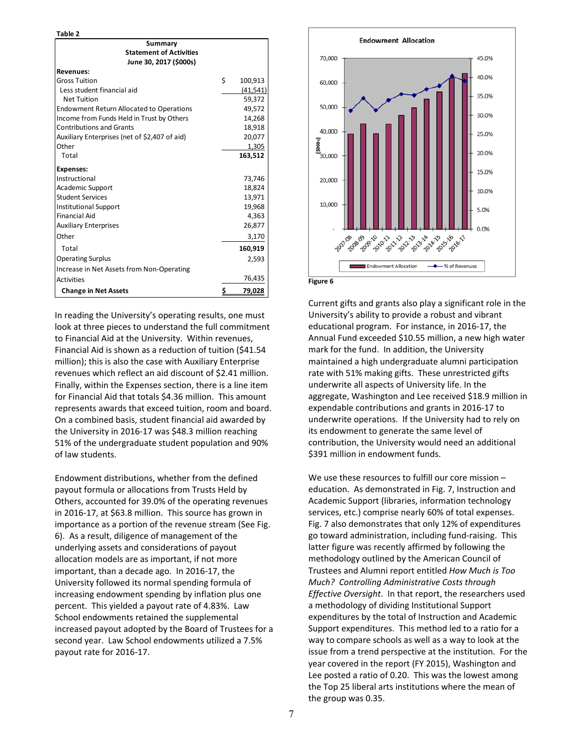**Table 2**

| Summary                                         |               |
|-------------------------------------------------|---------------|
| <b>Statement of Activities</b>                  |               |
| June 30, 2017 (\$000s)                          |               |
| <b>Revenues:</b>                                |               |
| <b>Gross Tuition</b>                            | \$<br>100,913 |
| Less student financial aid                      | (41,541)      |
| <b>Net Tuition</b>                              | 59,372        |
| <b>Endowment Return Allocated to Operations</b> | 49.572        |
| Income from Funds Held in Trust by Others       | 14,268        |
| <b>Contributions and Grants</b>                 | 18,918        |
| Auxiliary Enterprises (net of \$2,407 of aid)   | 20,077        |
| Other                                           | 1,305         |
| Total                                           | 163,512       |
| <b>Expenses:</b>                                |               |
| Instructional                                   | 73,746        |
| <b>Academic Support</b>                         | 18,824        |
| <b>Student Services</b>                         | 13.971        |
| <b>Institutional Support</b>                    | 19,968        |
| <b>Financial Aid</b>                            | 4,363         |
| <b>Auxiliary Enterprises</b>                    | 26,877        |
| Other                                           | 3,170         |
| Total                                           | 160,919       |
| <b>Operating Surplus</b>                        | 2,593         |
| Increase in Net Assets from Non-Operating       |               |
| <b>Activities</b>                               | 76,435        |
| <b>Change in Net Assets</b>                     | \$<br>79,028  |

In reading the University's operating results, one must look at three pieces to understand the full commitment to Financial Aid at the University. Within revenues, Financial Aid is shown as a reduction of tuition (\$41.54 million); this is also the case with Auxiliary Enterprise revenues which reflect an aid discount of \$2.41 million. Finally, within the Expenses section, there is a line item for Financial Aid that totals \$4.36 million. This amount represents awards that exceed tuition, room and board. On a combined basis, student financial aid awarded by the University in 2016‐17 was \$48.3 million reaching 51% of the undergraduate student population and 90% of law students.

Endowment distributions, whether from the defined payout formula or allocations from Trusts Held by Others, accounted for 39.0% of the operating revenues in 2016‐17, at \$63.8 million. This source has grown in importance as a portion of the revenue stream (See Fig. 6). As a result, diligence of management of the underlying assets and considerations of payout allocation models are as important, if not more important, than a decade ago. In 2016‐17, the University followed its normal spending formula of increasing endowment spending by inflation plus one percent. This yielded a payout rate of 4.83%. Law School endowments retained the supplemental increased payout adopted by the Board of Trustees for a second year. Law School endowments utilized a 7.5% payout rate for 2016‐17.



Current gifts and grants also play a significant role in the University's ability to provide a robust and vibrant educational program. For instance, in 2016‐17, the Annual Fund exceeded \$10.55 million, a new high water mark for the fund. In addition, the University maintained a high undergraduate alumni participation rate with 51% making gifts. These unrestricted gifts underwrite all aspects of University life. In the aggregate, Washington and Lee received \$18.9 million in expendable contributions and grants in 2016‐17 to underwrite operations. If the University had to rely on its endowment to generate the same level of contribution, the University would need an additional \$391 million in endowment funds.

We use these resources to fulfill our core mission – education. As demonstrated in Fig. 7, Instruction and Academic Support (libraries, information technology services, etc.) comprise nearly 60% of total expenses. Fig. 7 also demonstrates that only 12% of expenditures go toward administration, including fund‐raising. This latter figure was recently affirmed by following the methodology outlined by the American Council of Trustees and Alumni report entitled *How Much is Too Much? Controlling Administrative Costs through Effective Oversight*. In that report, the researchers used a methodology of dividing Institutional Support expenditures by the total of Instruction and Academic Support expenditures. This method led to a ratio for a way to compare schools as well as a way to look at the issue from a trend perspective at the institution. For the year covered in the report (FY 2015), Washington and Lee posted a ratio of 0.20. This was the lowest among the Top 25 liberal arts institutions where the mean of the group was 0.35.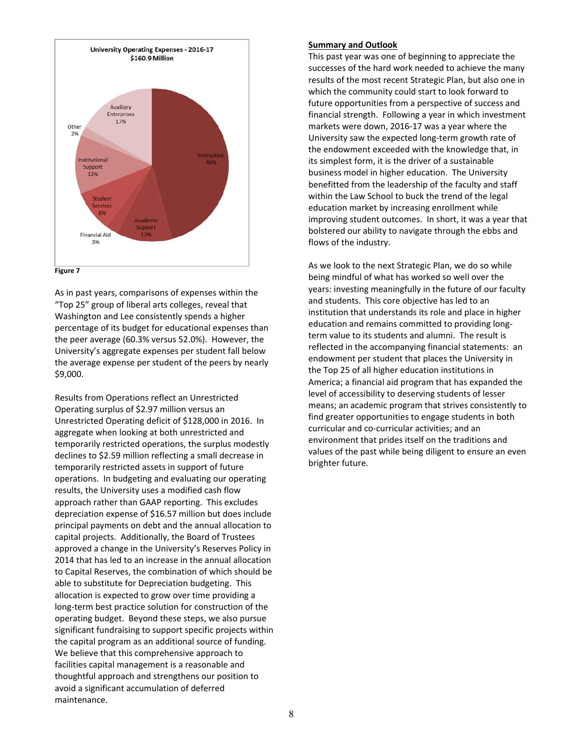



As in past years, comparisons of expenses within the "Top 25" group of liberal arts colleges, reveal that Washington and Lee consistently spends a higher percentage of its budget for educational expenses than the peer average (60.3% versus 52.0%). However, the University's aggregate expenses per student fall below the average expense per student of the peers by nearly \$9,000.

Results from Operations reflect an Unrestricted Operating surplus of \$2.97 million versus an Unrestricted Operating deficit of \$128,000 in 2016. In aggregate when looking at both unrestricted and temporarily restricted operations, the surplus modestly declines to \$2.59 million reflecting a small decrease in temporarily restricted assets in support of future operations. In budgeting and evaluating our operating results, the University uses a modified cash flow approach rather than GAAP reporting. This excludes depreciation expense of \$16.57 million but does include principal payments on debt and the annual allocation to capital projects. Additionally, the Board of Trustees approved a change in the University's Reserves Policy in 2014 that has led to an increase in the annual allocation to Capital Reserves, the combination of which should be able to substitute for Depreciation budgeting. This allocation is expected to grow over time providing a long‐term best practice solution for construction of the operating budget. Beyond these steps, we also pursue significant fundraising to support specific projects within the capital program as an additional source of funding. We believe that this comprehensive approach to facilities capital management is a reasonable and thoughtful approach and strengthens our position to avoid a significant accumulation of deferred maintenance.

#### **Summary and Outlook**

This past year was one of beginning to appreciate the successes of the hard work needed to achieve the many results of the most recent Strategic Plan, but also one in which the community could start to look forward to future opportunities from a perspective of success and financial strength. Following a year in which investment markets were down, 2016‐17 was a year where the University saw the expected long‐term growth rate of the endowment exceeded with the knowledge that, in its simplest form, it is the driver of a sustainable business model in higher education. The University benefitted from the leadership of the faculty and staff within the Law School to buck the trend of the legal education market by increasing enrollment while improving student outcomes. In short, it was a year that bolstered our ability to navigate through the ebbs and flows of the industry.

As we look to the next Strategic Plan, we do so while being mindful of what has worked so well over the years: investing meaningfully in the future of our faculty and students. This core objective has led to an institution that understands its role and place in higher education and remains committed to providing long‐ term value to its students and alumni. The result is reflected in the accompanying financial statements: an endowment per student that places the University in the Top 25 of all higher education institutions in America; a financial aid program that has expanded the level of accessibility to deserving students of lesser means; an academic program that strives consistently to find greater opportunities to engage students in both curricular and co‐curricular activities; and an environment that prides itself on the traditions and values of the past while being diligent to ensure an even brighter future.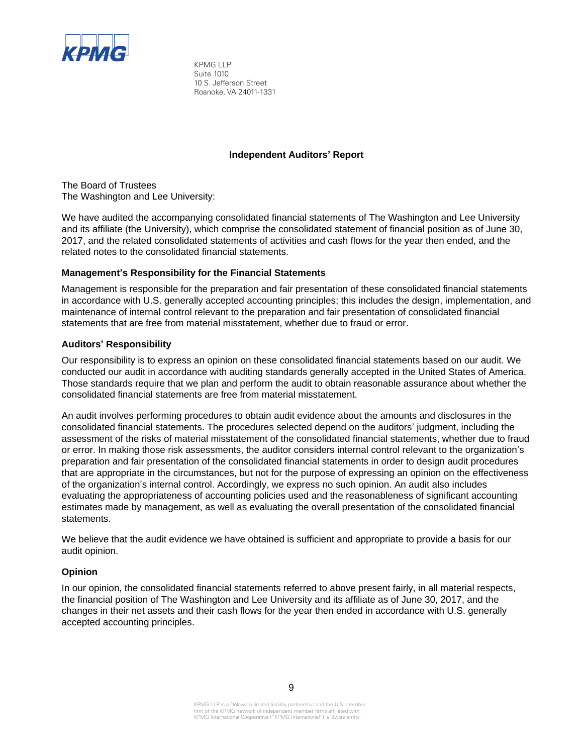

KPMG LLP Suite 1010 10 S. Jefferson Street Roanoke, VA 24011-1331

# **Independent Auditors' Report**

The Board of Trustees The Washington and Lee University:

We have audited the accompanying consolidated financial statements of The Washington and Lee University and its affiliate (the University), which comprise the consolidated statement of financial position as of June 30, 2017, and the related consolidated statements of activities and cash flows for the year then ended, and the related notes to the consolidated financial statements.

# **Management's Responsibility for the Financial Statements**

Management is responsible for the preparation and fair presentation of these consolidated financial statements in accordance with U.S. generally accepted accounting principles; this includes the design, implementation, and maintenance of internal control relevant to the preparation and fair presentation of consolidated financial statements that are free from material misstatement, whether due to fraud or error.

# **Auditors' Responsibility**

Our responsibility is to express an opinion on these consolidated financial statements based on our audit. We conducted our audit in accordance with auditing standards generally accepted in the United States of America. Those standards require that we plan and perform the audit to obtain reasonable assurance about whether the consolidated financial statements are free from material misstatement.

An audit involves performing procedures to obtain audit evidence about the amounts and disclosures in the consolidated financial statements. The procedures selected depend on the auditors' judgment, including the assessment of the risks of material misstatement of the consolidated financial statements, whether due to fraud or error. In making those risk assessments, the auditor considers internal control relevant to the organization's preparation and fair presentation of the consolidated financial statements in order to design audit procedures that are appropriate in the circumstances, but not for the purpose of expressing an opinion on the effectiveness of the organization's internal control. Accordingly, we express no such opinion. An audit also includes evaluating the appropriateness of accounting policies used and the reasonableness of significant accounting estimates made by management, as well as evaluating the overall presentation of the consolidated financial statements.

We believe that the audit evidence we have obtained is sufficient and appropriate to provide a basis for our audit opinion.

# **Opinion**

In our opinion, the consolidated financial statements referred to above present fairly, in all material respects, the financial position of The Washington and Lee University and its affiliate as of June 30, 2017, and the changes in their net assets and their cash flows for the year then ended in accordance with U.S. generally accepted accounting principles.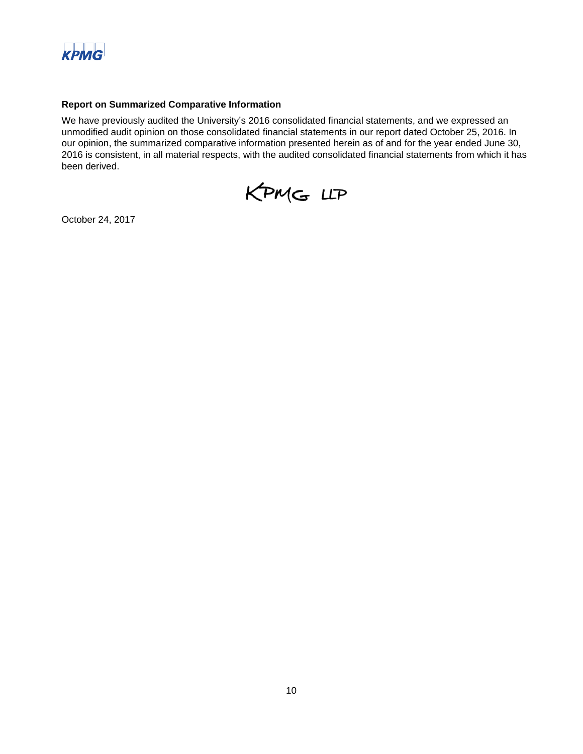

# **Report on Summarized Comparative Information**

We have previously audited the University's 2016 consolidated financial statements, and we expressed an unmodified audit opinion on those consolidated financial statements in our report dated October 25, 2016. In our opinion, the summarized comparative information presented herein as of and for the year ended June 30, 2016 is consistent, in all material respects, with the audited consolidated financial statements from which it has been derived.



October 24, 2017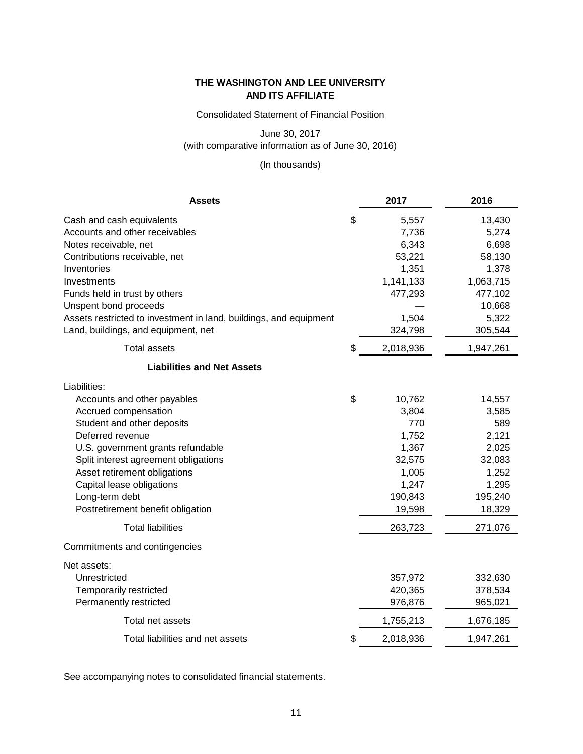Consolidated Statement of Financial Position

June 30, 2017

(with comparative information as of June 30, 2016)

(In thousands)

| <b>Assets</b>                                                     | 2017            | 2016      |
|-------------------------------------------------------------------|-----------------|-----------|
| Cash and cash equivalents                                         | \$<br>5,557     | 13,430    |
| Accounts and other receivables                                    | 7,736           | 5,274     |
| Notes receivable, net                                             | 6,343           | 6,698     |
| Contributions receivable, net                                     | 53,221          | 58,130    |
| Inventories                                                       | 1,351           | 1,378     |
| Investments                                                       | 1,141,133       | 1,063,715 |
| Funds held in trust by others                                     | 477,293         | 477,102   |
| Unspent bond proceeds                                             |                 | 10,668    |
| Assets restricted to investment in land, buildings, and equipment | 1,504           | 5,322     |
| Land, buildings, and equipment, net                               | 324,798         | 305,544   |
| <b>Total assets</b>                                               | \$<br>2,018,936 | 1,947,261 |
| <b>Liabilities and Net Assets</b>                                 |                 |           |
| Liabilities:                                                      |                 |           |
| Accounts and other payables                                       | \$<br>10,762    | 14,557    |
| Accrued compensation                                              | 3,804           | 3,585     |
| Student and other deposits                                        | 770             | 589       |
| Deferred revenue                                                  | 1,752           | 2,121     |
| U.S. government grants refundable                                 | 1,367           | 2,025     |
| Split interest agreement obligations                              | 32,575          | 32,083    |
| Asset retirement obligations                                      | 1,005           | 1,252     |
| Capital lease obligations                                         | 1,247           | 1,295     |
| Long-term debt                                                    | 190,843         | 195,240   |
| Postretirement benefit obligation                                 | 19,598          | 18,329    |
| <b>Total liabilities</b>                                          | 263,723         | 271,076   |
| Commitments and contingencies                                     |                 |           |
| Net assets:                                                       |                 |           |
| Unrestricted                                                      | 357,972         | 332,630   |
| Temporarily restricted                                            | 420,365         | 378,534   |
| Permanently restricted                                            | 976,876         | 965,021   |
| Total net assets                                                  | 1,755,213       | 1,676,185 |
| Total liabilities and net assets                                  | \$<br>2,018,936 | 1,947,261 |

See accompanying notes to consolidated financial statements.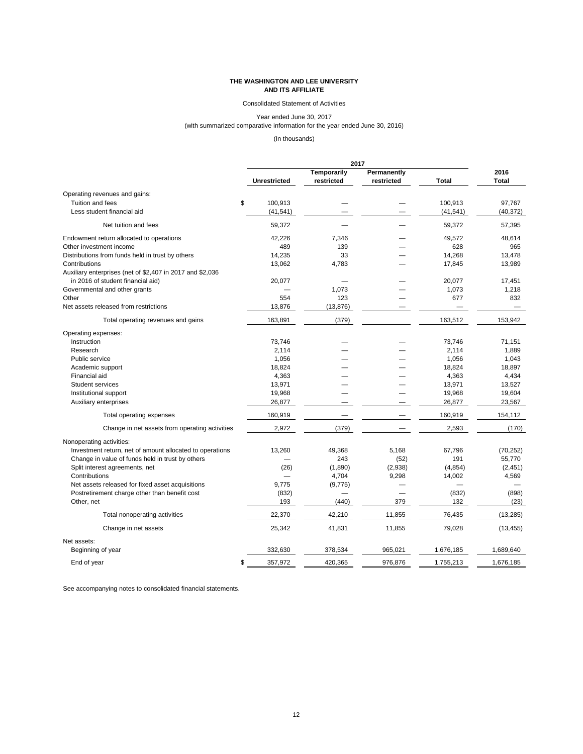12

# **THE WASHINGTON AND LEE UNIVERSITY AND ITS AFFILIATE**

# Consolidated Statement of Activities

Year ended June 30, 2017 (with summarized comparative information for the year ended June 30, 2016)

# (In thousands)

|                                                           |                     | 2017               |             |              |              |
|-----------------------------------------------------------|---------------------|--------------------|-------------|--------------|--------------|
|                                                           |                     | <b>Temporarily</b> | Permanently |              | 2016         |
|                                                           | <b>Unrestricted</b> | restricted         | restricted  | <b>Total</b> | <b>Total</b> |
| Operating revenues and gains:                             |                     |                    |             |              |              |
| Tuition and fees                                          | \$<br>100,913       |                    |             | 100,913      | 97,767       |
| Less student financial aid                                | (41, 541)           |                    |             | (41, 541)    | (40, 372)    |
| Net tuition and fees                                      | 59,372              |                    |             | 59,372       | 57,395       |
| Endowment return allocated to operations                  | 42,226              | 7,346              |             | 49,572       | 48,614       |
| Other investment income                                   | 489                 | 139                |             | 628          | 965          |
| Distributions from funds held in trust by others          | 14,235              | 33                 |             | 14,268       | 13,478       |
| Contributions                                             | 13,062              | 4,783              |             | 17,845       | 13,989       |
| Auxiliary enterprises (net of \$2,407 in 2017 and \$2,036 |                     |                    |             |              |              |
| in 2016 of student financial aid)                         | 20,077              |                    |             | 20,077       | 17,451       |
| Governmental and other grants                             |                     | 1,073              |             | 1,073        | 1,218        |
| Other                                                     | 554                 | 123                |             | 677          | 832          |
| Net assets released from restrictions                     | 13,876              | (13, 876)          |             |              |              |
| Total operating revenues and gains                        | 163,891             | (379)              |             | 163,512      | 153,942      |
| Operating expenses:                                       |                     |                    |             |              |              |
| Instruction                                               | 73,746              |                    |             | 73,746       | 71,151       |
| Research                                                  | 2,114               |                    |             | 2,114        | 1,889        |
| Public service                                            | 1,056               |                    |             | 1,056        | 1,043        |
| Academic support                                          | 18,824              |                    |             | 18,824       | 18,897       |
| Financial aid                                             | 4,363               |                    |             | 4,363        | 4,434        |
| <b>Student services</b>                                   | 13,971              |                    |             | 13,971       | 13,527       |
| Institutional support                                     | 19,968              |                    |             | 19,968       | 19,604       |
| Auxiliary enterprises                                     | 26,877              |                    |             | 26,877       | 23,567       |
| Total operating expenses                                  | 160,919             |                    |             | 160,919      | 154,112      |
| Change in net assets from operating activities            | 2,972               | (379)              |             | 2,593        | (170)        |
|                                                           |                     |                    |             |              |              |
| Nonoperating activities:                                  |                     |                    |             |              |              |
| Investment return, net of amount allocated to operations  | 13,260              | 49,368             | 5,168       | 67,796       | (70, 252)    |
| Change in value of funds held in trust by others          |                     | 243                | (52)        | 191          | 55,770       |
| Split interest agreements, net                            | (26)                | (1,890)            | (2,938)     | (4, 854)     | (2, 451)     |
| Contributions                                             |                     | 4,704              | 9,298       | 14,002       | 4,569        |
| Net assets released for fixed asset acquisitions          | 9,775               | (9, 775)           |             |              |              |
| Postretirement charge other than benefit cost             | (832)               |                    |             | (832)        | (898)        |
| Other, net                                                | 193                 | (440)              | 379         | 132          | (23)         |
| Total nonoperating activities                             | 22,370              | 42,210             | 11,855      | 76,435       | (13, 285)    |
| Change in net assets                                      | 25,342              | 41,831             | 11,855      | 79,028       | (13, 455)    |
| Net assets:                                               |                     |                    |             |              |              |
| Beginning of year                                         | 332,630             | 378,534            | 965,021     | 1,676,185    | 1,689,640    |
| End of year                                               | 357,972<br>\$       | 420,365            | 976,876     | 1,755,213    | 1,676,185    |

See accompanying notes to consolidated financial statements.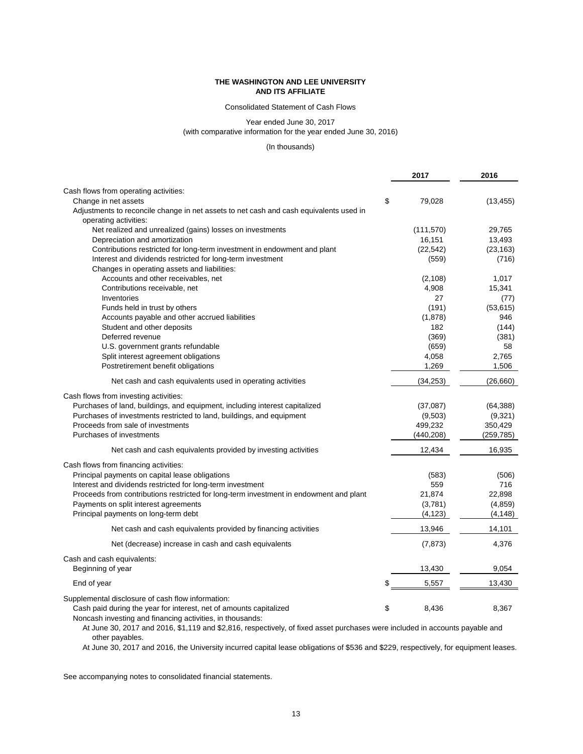# Consolidated Statement of Cash Flows

Year ended June 30, 2017

(with comparative information for the year ended June 30, 2016)

# (In thousands)

|                                                                                                                                 | 2017         | 2016       |
|---------------------------------------------------------------------------------------------------------------------------------|--------------|------------|
| Cash flows from operating activities:                                                                                           |              |            |
| Change in net assets                                                                                                            | \$<br>79,028 | (13, 455)  |
| Adjustments to reconcile change in net assets to net cash and cash equivalents used in                                          |              |            |
| operating activities:                                                                                                           |              |            |
| Net realized and unrealized (gains) losses on investments                                                                       | (111, 570)   | 29,765     |
| Depreciation and amortization                                                                                                   | 16,151       | 13,493     |
| Contributions restricted for long-term investment in endowment and plant                                                        | (22, 542)    | (23, 163)  |
| Interest and dividends restricted for long-term investment                                                                      | (559)        | (716)      |
| Changes in operating assets and liabilities:                                                                                    |              |            |
| Accounts and other receivables, net                                                                                             | (2, 108)     | 1,017      |
| Contributions receivable, net                                                                                                   | 4,908        | 15,341     |
| Inventories                                                                                                                     | 27           | (77)       |
| Funds held in trust by others                                                                                                   | (191)        | (53, 615)  |
| Accounts payable and other accrued liabilities                                                                                  | (1,878)      | 946        |
| Student and other deposits                                                                                                      | 182          | (144)      |
| Deferred revenue                                                                                                                | (369)        | (381)      |
| U.S. government grants refundable                                                                                               | (659)        | 58         |
| Split interest agreement obligations                                                                                            | 4,058        | 2,765      |
| Postretirement benefit obligations                                                                                              | 1,269        | 1,506      |
| Net cash and cash equivalents used in operating activities                                                                      | (34, 253)    | (26, 660)  |
| Cash flows from investing activities:                                                                                           |              |            |
| Purchases of land, buildings, and equipment, including interest capitalized                                                     | (37,087)     | (64, 388)  |
| Purchases of investments restricted to land, buildings, and equipment                                                           | (9,503)      | (9,321)    |
| Proceeds from sale of investments                                                                                               | 499,232      | 350,429    |
| Purchases of investments                                                                                                        | (440, 208)   | (259, 785) |
| Net cash and cash equivalents provided by investing activities                                                                  | 12,434       | 16,935     |
| Cash flows from financing activities:                                                                                           |              |            |
| Principal payments on capital lease obligations                                                                                 | (583)        | (506)      |
| Interest and dividends restricted for long-term investment                                                                      | 559          | 716        |
| Proceeds from contributions restricted for long-term investment in endowment and plant                                          | 21,874       | 22,898     |
| Payments on split interest agreements                                                                                           | (3,781)      | (4, 859)   |
| Principal payments on long-term debt                                                                                            | (4, 123)     | (4, 148)   |
| Net cash and cash equivalents provided by financing activities                                                                  | 13,946       | 14,101     |
| Net (decrease) increase in cash and cash equivalents                                                                            | (7, 873)     | 4,376      |
| Cash and cash equivalents:                                                                                                      |              |            |
| Beginning of year                                                                                                               | 13,430       | 9,054      |
| End of year                                                                                                                     | 5,557        | 13,430     |
| Supplemental disclosure of cash flow information:                                                                               |              |            |
| Cash paid during the year for interest, net of amounts capitalized<br>Noncash investing and financing activities, in thousands: | \$<br>8,436  | 8,367      |

At June 30, 2017 and 2016, \$1,119 and \$2,816, respectively, of fixed asset purchases were included in accounts payable and other payables.

At June 30, 2017 and 2016, the University incurred capital lease obligations of \$536 and \$229, respectively, for equipment leases.

See accompanying notes to consolidated financial statements.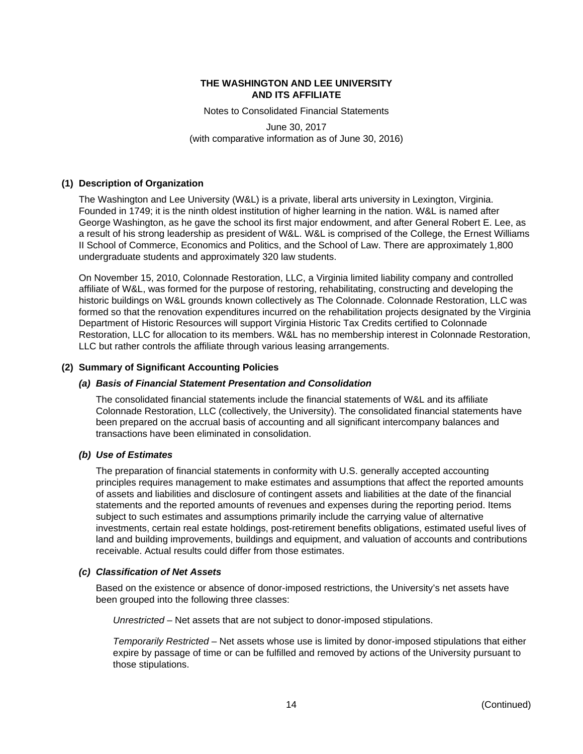Notes to Consolidated Financial Statements

June 30, 2017 (with comparative information as of June 30, 2016)

# **(1) Description of Organization**

The Washington and Lee University (W&L) is a private, liberal arts university in Lexington, Virginia. Founded in 1749; it is the ninth oldest institution of higher learning in the nation. W&L is named after George Washington, as he gave the school its first major endowment, and after General Robert E. Lee, as a result of his strong leadership as president of W&L. W&L is comprised of the College, the Ernest Williams II School of Commerce, Economics and Politics, and the School of Law. There are approximately 1,800 undergraduate students and approximately 320 law students.

On November 15, 2010, Colonnade Restoration, LLC, a Virginia limited liability company and controlled affiliate of W&L, was formed for the purpose of restoring, rehabilitating, constructing and developing the historic buildings on W&L grounds known collectively as The Colonnade. Colonnade Restoration, LLC was formed so that the renovation expenditures incurred on the rehabilitation projects designated by the Virginia Department of Historic Resources will support Virginia Historic Tax Credits certified to Colonnade Restoration, LLC for allocation to its members. W&L has no membership interest in Colonnade Restoration, LLC but rather controls the affiliate through various leasing arrangements.

# **(2) Summary of Significant Accounting Policies**

# *(a) Basis of Financial Statement Presentation and Consolidation*

The consolidated financial statements include the financial statements of W&L and its affiliate Colonnade Restoration, LLC (collectively, the University). The consolidated financial statements have been prepared on the accrual basis of accounting and all significant intercompany balances and transactions have been eliminated in consolidation.

# *(b) Use of Estimates*

The preparation of financial statements in conformity with U.S. generally accepted accounting principles requires management to make estimates and assumptions that affect the reported amounts of assets and liabilities and disclosure of contingent assets and liabilities at the date of the financial statements and the reported amounts of revenues and expenses during the reporting period. Items subject to such estimates and assumptions primarily include the carrying value of alternative investments, certain real estate holdings, post-retirement benefits obligations, estimated useful lives of land and building improvements, buildings and equipment, and valuation of accounts and contributions receivable. Actual results could differ from those estimates.

# *(c) Classification of Net Assets*

Based on the existence or absence of donor-imposed restrictions, the University's net assets have been grouped into the following three classes:

*Unrestricted* – Net assets that are not subject to donor-imposed stipulations.

*Temporarily Restricted* – Net assets whose use is limited by donor-imposed stipulations that either expire by passage of time or can be fulfilled and removed by actions of the University pursuant to those stipulations.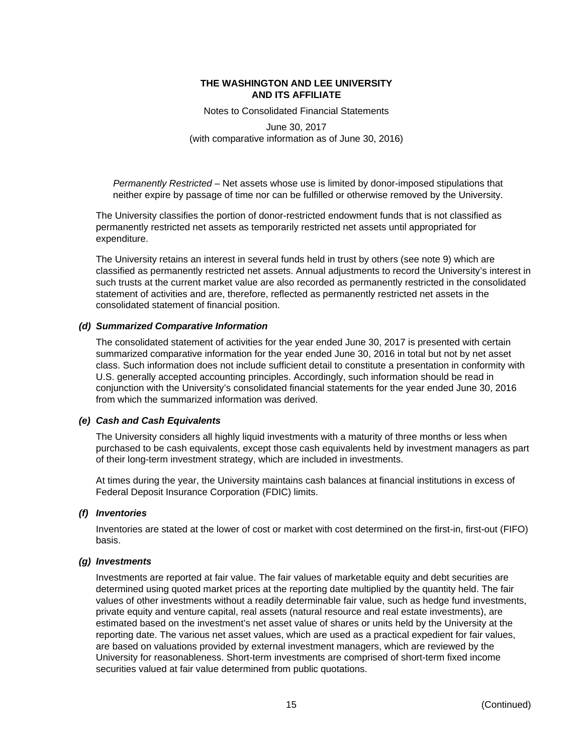Notes to Consolidated Financial Statements

June 30, 2017 (with comparative information as of June 30, 2016)

*Permanently Restricted* – Net assets whose use is limited by donor-imposed stipulations that neither expire by passage of time nor can be fulfilled or otherwise removed by the University.

The University classifies the portion of donor-restricted endowment funds that is not classified as permanently restricted net assets as temporarily restricted net assets until appropriated for expenditure.

The University retains an interest in several funds held in trust by others (see note 9) which are classified as permanently restricted net assets. Annual adjustments to record the University's interest in such trusts at the current market value are also recorded as permanently restricted in the consolidated statement of activities and are, therefore, reflected as permanently restricted net assets in the consolidated statement of financial position.

# *(d) Summarized Comparative Information*

The consolidated statement of activities for the year ended June 30, 2017 is presented with certain summarized comparative information for the year ended June 30, 2016 in total but not by net asset class. Such information does not include sufficient detail to constitute a presentation in conformity with U.S. generally accepted accounting principles. Accordingly, such information should be read in conjunction with the University's consolidated financial statements for the year ended June 30, 2016 from which the summarized information was derived.

# *(e) Cash and Cash Equivalents*

The University considers all highly liquid investments with a maturity of three months or less when purchased to be cash equivalents, except those cash equivalents held by investment managers as part of their long-term investment strategy, which are included in investments.

At times during the year, the University maintains cash balances at financial institutions in excess of Federal Deposit Insurance Corporation (FDIC) limits.

#### *(f) Inventories*

Inventories are stated at the lower of cost or market with cost determined on the first-in, first-out (FIFO) basis.

#### *(g) Investments*

Investments are reported at fair value. The fair values of marketable equity and debt securities are determined using quoted market prices at the reporting date multiplied by the quantity held. The fair values of other investments without a readily determinable fair value, such as hedge fund investments, private equity and venture capital, real assets (natural resource and real estate investments), are estimated based on the investment's net asset value of shares or units held by the University at the reporting date. The various net asset values, which are used as a practical expedient for fair values, are based on valuations provided by external investment managers, which are reviewed by the University for reasonableness. Short-term investments are comprised of short-term fixed income securities valued at fair value determined from public quotations.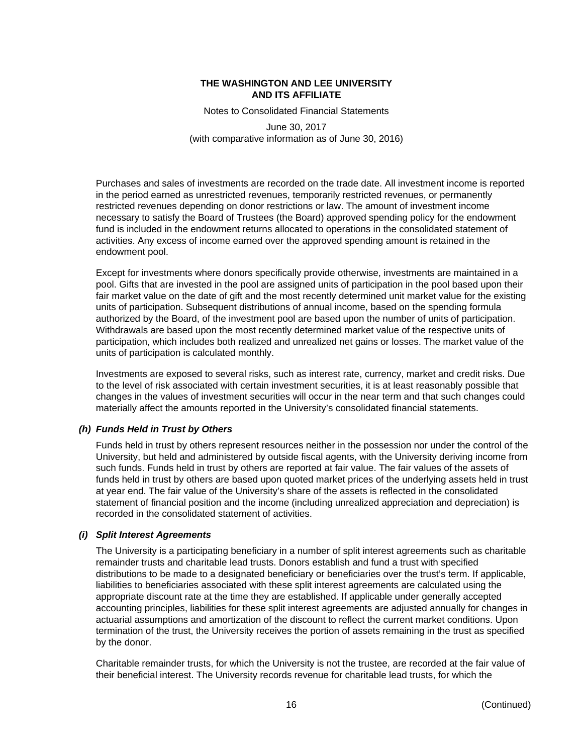Notes to Consolidated Financial Statements

June 30, 2017 (with comparative information as of June 30, 2016)

Purchases and sales of investments are recorded on the trade date. All investment income is reported in the period earned as unrestricted revenues, temporarily restricted revenues, or permanently restricted revenues depending on donor restrictions or law. The amount of investment income necessary to satisfy the Board of Trustees (the Board) approved spending policy for the endowment fund is included in the endowment returns allocated to operations in the consolidated statement of activities. Any excess of income earned over the approved spending amount is retained in the endowment pool.

Except for investments where donors specifically provide otherwise, investments are maintained in a pool. Gifts that are invested in the pool are assigned units of participation in the pool based upon their fair market value on the date of gift and the most recently determined unit market value for the existing units of participation. Subsequent distributions of annual income, based on the spending formula authorized by the Board, of the investment pool are based upon the number of units of participation. Withdrawals are based upon the most recently determined market value of the respective units of participation, which includes both realized and unrealized net gains or losses. The market value of the units of participation is calculated monthly.

Investments are exposed to several risks, such as interest rate, currency, market and credit risks. Due to the level of risk associated with certain investment securities, it is at least reasonably possible that changes in the values of investment securities will occur in the near term and that such changes could materially affect the amounts reported in the University's consolidated financial statements.

# *(h) Funds Held in Trust by Others*

Funds held in trust by others represent resources neither in the possession nor under the control of the University, but held and administered by outside fiscal agents, with the University deriving income from such funds. Funds held in trust by others are reported at fair value. The fair values of the assets of funds held in trust by others are based upon quoted market prices of the underlying assets held in trust at year end. The fair value of the University's share of the assets is reflected in the consolidated statement of financial position and the income (including unrealized appreciation and depreciation) is recorded in the consolidated statement of activities.

# *(i) Split Interest Agreements*

The University is a participating beneficiary in a number of split interest agreements such as charitable remainder trusts and charitable lead trusts. Donors establish and fund a trust with specified distributions to be made to a designated beneficiary or beneficiaries over the trust's term. If applicable, liabilities to beneficiaries associated with these split interest agreements are calculated using the appropriate discount rate at the time they are established. If applicable under generally accepted accounting principles, liabilities for these split interest agreements are adjusted annually for changes in actuarial assumptions and amortization of the discount to reflect the current market conditions. Upon termination of the trust, the University receives the portion of assets remaining in the trust as specified by the donor.

Charitable remainder trusts, for which the University is not the trustee, are recorded at the fair value of their beneficial interest. The University records revenue for charitable lead trusts, for which the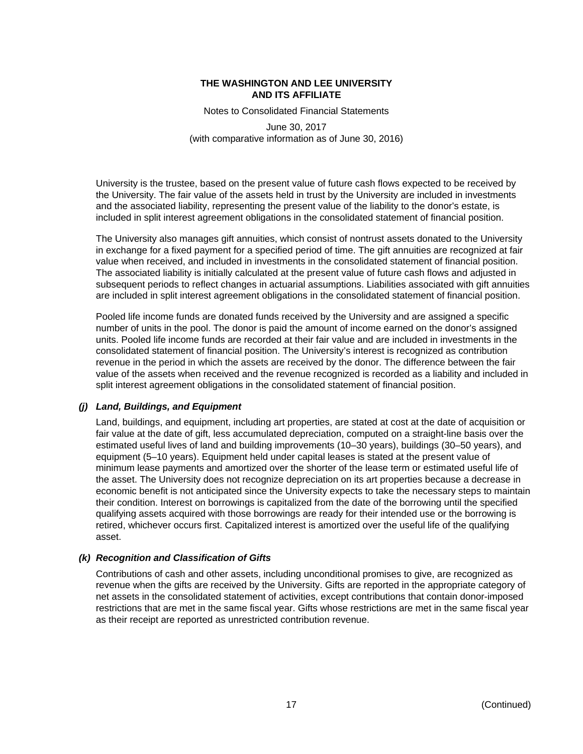Notes to Consolidated Financial Statements

June 30, 2017 (with comparative information as of June 30, 2016)

University is the trustee, based on the present value of future cash flows expected to be received by the University. The fair value of the assets held in trust by the University are included in investments and the associated liability, representing the present value of the liability to the donor's estate, is included in split interest agreement obligations in the consolidated statement of financial position.

The University also manages gift annuities, which consist of nontrust assets donated to the University in exchange for a fixed payment for a specified period of time. The gift annuities are recognized at fair value when received, and included in investments in the consolidated statement of financial position. The associated liability is initially calculated at the present value of future cash flows and adjusted in subsequent periods to reflect changes in actuarial assumptions. Liabilities associated with gift annuities are included in split interest agreement obligations in the consolidated statement of financial position.

Pooled life income funds are donated funds received by the University and are assigned a specific number of units in the pool. The donor is paid the amount of income earned on the donor's assigned units. Pooled life income funds are recorded at their fair value and are included in investments in the consolidated statement of financial position. The University's interest is recognized as contribution revenue in the period in which the assets are received by the donor. The difference between the fair value of the assets when received and the revenue recognized is recorded as a liability and included in split interest agreement obligations in the consolidated statement of financial position.

# *(j) Land, Buildings, and Equipment*

Land, buildings, and equipment, including art properties, are stated at cost at the date of acquisition or fair value at the date of gift, less accumulated depreciation, computed on a straight-line basis over the estimated useful lives of land and building improvements (10–30 years), buildings (30–50 years), and equipment (5–10 years). Equipment held under capital leases is stated at the present value of minimum lease payments and amortized over the shorter of the lease term or estimated useful life of the asset. The University does not recognize depreciation on its art properties because a decrease in economic benefit is not anticipated since the University expects to take the necessary steps to maintain their condition. Interest on borrowings is capitalized from the date of the borrowing until the specified qualifying assets acquired with those borrowings are ready for their intended use or the borrowing is retired, whichever occurs first. Capitalized interest is amortized over the useful life of the qualifying asset.

# *(k) Recognition and Classification of Gifts*

Contributions of cash and other assets, including unconditional promises to give, are recognized as revenue when the gifts are received by the University. Gifts are reported in the appropriate category of net assets in the consolidated statement of activities, except contributions that contain donor-imposed restrictions that are met in the same fiscal year. Gifts whose restrictions are met in the same fiscal year as their receipt are reported as unrestricted contribution revenue.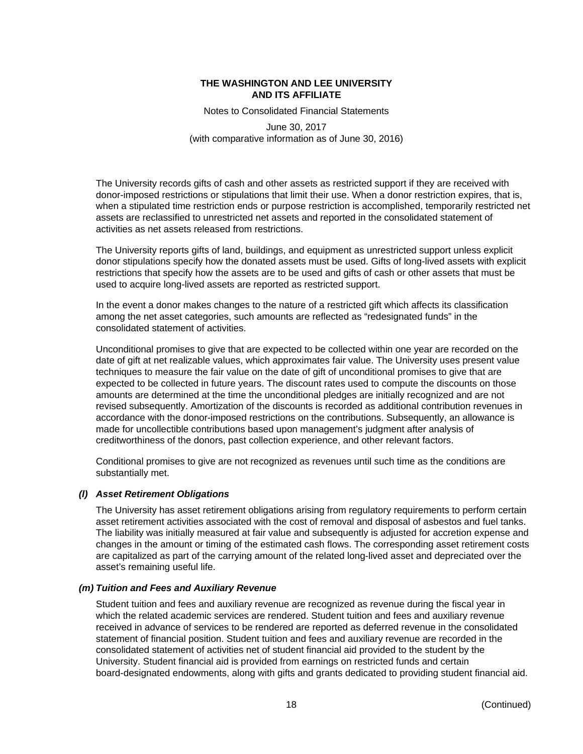Notes to Consolidated Financial Statements

June 30, 2017 (with comparative information as of June 30, 2016)

The University records gifts of cash and other assets as restricted support if they are received with donor-imposed restrictions or stipulations that limit their use. When a donor restriction expires, that is, when a stipulated time restriction ends or purpose restriction is accomplished, temporarily restricted net assets are reclassified to unrestricted net assets and reported in the consolidated statement of activities as net assets released from restrictions.

The University reports gifts of land, buildings, and equipment as unrestricted support unless explicit donor stipulations specify how the donated assets must be used. Gifts of long-lived assets with explicit restrictions that specify how the assets are to be used and gifts of cash or other assets that must be used to acquire long-lived assets are reported as restricted support.

In the event a donor makes changes to the nature of a restricted gift which affects its classification among the net asset categories, such amounts are reflected as "redesignated funds" in the consolidated statement of activities.

Unconditional promises to give that are expected to be collected within one year are recorded on the date of gift at net realizable values, which approximates fair value. The University uses present value techniques to measure the fair value on the date of gift of unconditional promises to give that are expected to be collected in future years. The discount rates used to compute the discounts on those amounts are determined at the time the unconditional pledges are initially recognized and are not revised subsequently. Amortization of the discounts is recorded as additional contribution revenues in accordance with the donor-imposed restrictions on the contributions. Subsequently, an allowance is made for uncollectible contributions based upon management's judgment after analysis of creditworthiness of the donors, past collection experience, and other relevant factors.

Conditional promises to give are not recognized as revenues until such time as the conditions are substantially met.

# *(l) Asset Retirement Obligations*

The University has asset retirement obligations arising from regulatory requirements to perform certain asset retirement activities associated with the cost of removal and disposal of asbestos and fuel tanks. The liability was initially measured at fair value and subsequently is adjusted for accretion expense and changes in the amount or timing of the estimated cash flows. The corresponding asset retirement costs are capitalized as part of the carrying amount of the related long-lived asset and depreciated over the asset's remaining useful life.

# *(m) Tuition and Fees and Auxiliary Revenue*

Student tuition and fees and auxiliary revenue are recognized as revenue during the fiscal year in which the related academic services are rendered. Student tuition and fees and auxiliary revenue received in advance of services to be rendered are reported as deferred revenue in the consolidated statement of financial position. Student tuition and fees and auxiliary revenue are recorded in the consolidated statement of activities net of student financial aid provided to the student by the University. Student financial aid is provided from earnings on restricted funds and certain board-designated endowments, along with gifts and grants dedicated to providing student financial aid.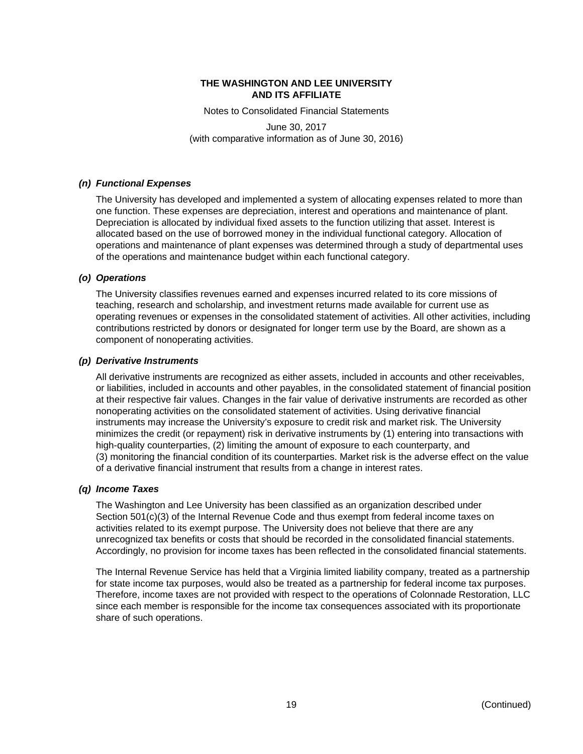Notes to Consolidated Financial Statements

June 30, 2017 (with comparative information as of June 30, 2016)

# *(n) Functional Expenses*

The University has developed and implemented a system of allocating expenses related to more than one function. These expenses are depreciation, interest and operations and maintenance of plant. Depreciation is allocated by individual fixed assets to the function utilizing that asset. Interest is allocated based on the use of borrowed money in the individual functional category. Allocation of operations and maintenance of plant expenses was determined through a study of departmental uses of the operations and maintenance budget within each functional category.

# *(o) Operations*

The University classifies revenues earned and expenses incurred related to its core missions of teaching, research and scholarship, and investment returns made available for current use as operating revenues or expenses in the consolidated statement of activities. All other activities, including contributions restricted by donors or designated for longer term use by the Board, are shown as a component of nonoperating activities.

# *(p) Derivative Instruments*

All derivative instruments are recognized as either assets, included in accounts and other receivables, or liabilities, included in accounts and other payables, in the consolidated statement of financial position at their respective fair values. Changes in the fair value of derivative instruments are recorded as other nonoperating activities on the consolidated statement of activities. Using derivative financial instruments may increase the University's exposure to credit risk and market risk. The University minimizes the credit (or repayment) risk in derivative instruments by (1) entering into transactions with high-quality counterparties, (2) limiting the amount of exposure to each counterparty, and (3) monitoring the financial condition of its counterparties. Market risk is the adverse effect on the value of a derivative financial instrument that results from a change in interest rates.

# *(q) Income Taxes*

The Washington and Lee University has been classified as an organization described under Section 501(c)(3) of the Internal Revenue Code and thus exempt from federal income taxes on activities related to its exempt purpose. The University does not believe that there are any unrecognized tax benefits or costs that should be recorded in the consolidated financial statements. Accordingly, no provision for income taxes has been reflected in the consolidated financial statements.

The Internal Revenue Service has held that a Virginia limited liability company, treated as a partnership for state income tax purposes, would also be treated as a partnership for federal income tax purposes. Therefore, income taxes are not provided with respect to the operations of Colonnade Restoration, LLC since each member is responsible for the income tax consequences associated with its proportionate share of such operations.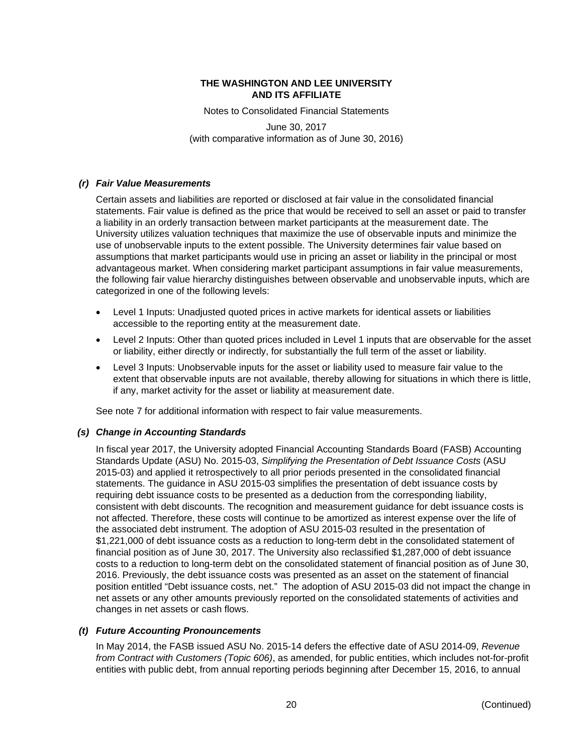Notes to Consolidated Financial Statements

June 30, 2017 (with comparative information as of June 30, 2016)

# *(r) Fair Value Measurements*

Certain assets and liabilities are reported or disclosed at fair value in the consolidated financial statements. Fair value is defined as the price that would be received to sell an asset or paid to transfer a liability in an orderly transaction between market participants at the measurement date. The University utilizes valuation techniques that maximize the use of observable inputs and minimize the use of unobservable inputs to the extent possible. The University determines fair value based on assumptions that market participants would use in pricing an asset or liability in the principal or most advantageous market. When considering market participant assumptions in fair value measurements, the following fair value hierarchy distinguishes between observable and unobservable inputs, which are categorized in one of the following levels:

- Level 1 Inputs: Unadjusted quoted prices in active markets for identical assets or liabilities accessible to the reporting entity at the measurement date.
- Level 2 Inputs: Other than quoted prices included in Level 1 inputs that are observable for the asset or liability, either directly or indirectly, for substantially the full term of the asset or liability.
- Level 3 Inputs: Unobservable inputs for the asset or liability used to measure fair value to the extent that observable inputs are not available, thereby allowing for situations in which there is little, if any, market activity for the asset or liability at measurement date.

See note 7 for additional information with respect to fair value measurements.

# *(s) Change in Accounting Standards*

In fiscal year 2017, the University adopted Financial Accounting Standards Board (FASB) Accounting Standards Update (ASU) No. 2015-03, *Simplifying the Presentation of Debt Issuance Costs* (ASU 2015-03) and applied it retrospectively to all prior periods presented in the consolidated financial statements. The guidance in ASU 2015-03 simplifies the presentation of debt issuance costs by requiring debt issuance costs to be presented as a deduction from the corresponding liability, consistent with debt discounts. The recognition and measurement guidance for debt issuance costs is not affected. Therefore, these costs will continue to be amortized as interest expense over the life of the associated debt instrument. The adoption of ASU 2015-03 resulted in the presentation of \$1,221,000 of debt issuance costs as a reduction to long-term debt in the consolidated statement of financial position as of June 30, 2017. The University also reclassified \$1,287,000 of debt issuance costs to a reduction to long-term debt on the consolidated statement of financial position as of June 30, 2016. Previously, the debt issuance costs was presented as an asset on the statement of financial position entitled "Debt issuance costs, net." The adoption of ASU 2015-03 did not impact the change in net assets or any other amounts previously reported on the consolidated statements of activities and changes in net assets or cash flows.

# *(t) Future Accounting Pronouncements*

In May 2014, the FASB issued ASU No. 2015-14 defers the effective date of ASU 2014-09, *Revenue from Contract with Customers (Topic 606)*, as amended, for public entities, which includes not-for-profit entities with public debt, from annual reporting periods beginning after December 15, 2016, to annual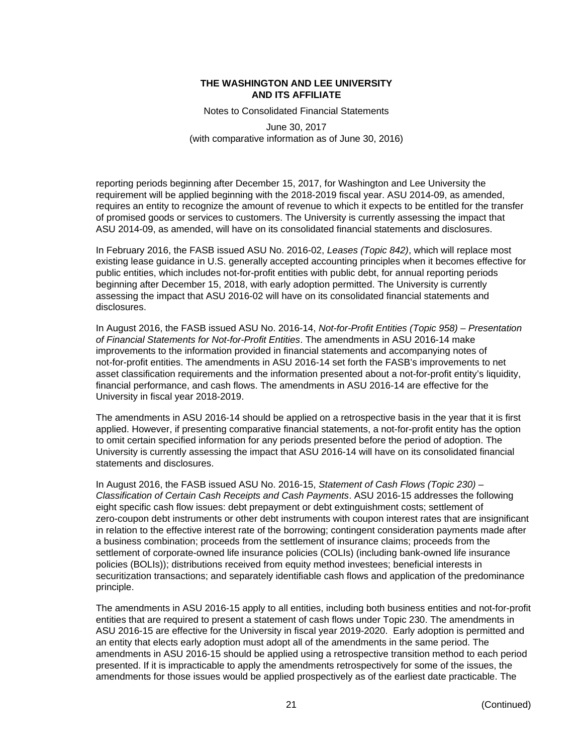Notes to Consolidated Financial Statements

June 30, 2017 (with comparative information as of June 30, 2016)

reporting periods beginning after December 15, 2017, for Washington and Lee University the requirement will be applied beginning with the 2018-2019 fiscal year. ASU 2014-09, as amended, requires an entity to recognize the amount of revenue to which it expects to be entitled for the transfer of promised goods or services to customers. The University is currently assessing the impact that ASU 2014-09, as amended, will have on its consolidated financial statements and disclosures.

In February 2016, the FASB issued ASU No. 2016-02, *Leases (Topic 842)*, which will replace most existing lease guidance in U.S. generally accepted accounting principles when it becomes effective for public entities, which includes not-for-profit entities with public debt, for annual reporting periods beginning after December 15, 2018, with early adoption permitted. The University is currently assessing the impact that ASU 2016-02 will have on its consolidated financial statements and disclosures.

In August 2016, the FASB issued ASU No. 2016-14, *Not-for-Profit Entities (Topic 958) – Presentation of Financial Statements for Not-for-Profit Entities*. The amendments in ASU 2016-14 make improvements to the information provided in financial statements and accompanying notes of not-for-profit entities. The amendments in ASU 2016-14 set forth the FASB's improvements to net asset classification requirements and the information presented about a not-for-profit entity's liquidity, financial performance, and cash flows. The amendments in ASU 2016-14 are effective for the University in fiscal year 2018-2019.

The amendments in ASU 2016-14 should be applied on a retrospective basis in the year that it is first applied. However, if presenting comparative financial statements, a not-for-profit entity has the option to omit certain specified information for any periods presented before the period of adoption. The University is currently assessing the impact that ASU 2016-14 will have on its consolidated financial statements and disclosures.

In August 2016, the FASB issued ASU No. 2016-15, *Statement of Cash Flows (Topic 230) – Classification of Certain Cash Receipts and Cash Payments*. ASU 2016-15 addresses the following eight specific cash flow issues: debt prepayment or debt extinguishment costs; settlement of zero-coupon debt instruments or other debt instruments with coupon interest rates that are insignificant in relation to the effective interest rate of the borrowing; contingent consideration payments made after a business combination; proceeds from the settlement of insurance claims; proceeds from the settlement of corporate-owned life insurance policies (COLIs) (including bank-owned life insurance policies (BOLIs)); distributions received from equity method investees; beneficial interests in securitization transactions; and separately identifiable cash flows and application of the predominance principle.

The amendments in ASU 2016-15 apply to all entities, including both business entities and not-for-profit entities that are required to present a statement of cash flows under Topic 230. The amendments in ASU 2016-15 are effective for the University in fiscal year 2019-2020. Early adoption is permitted and an entity that elects early adoption must adopt all of the amendments in the same period. The amendments in ASU 2016-15 should be applied using a retrospective transition method to each period presented. If it is impracticable to apply the amendments retrospectively for some of the issues, the amendments for those issues would be applied prospectively as of the earliest date practicable. The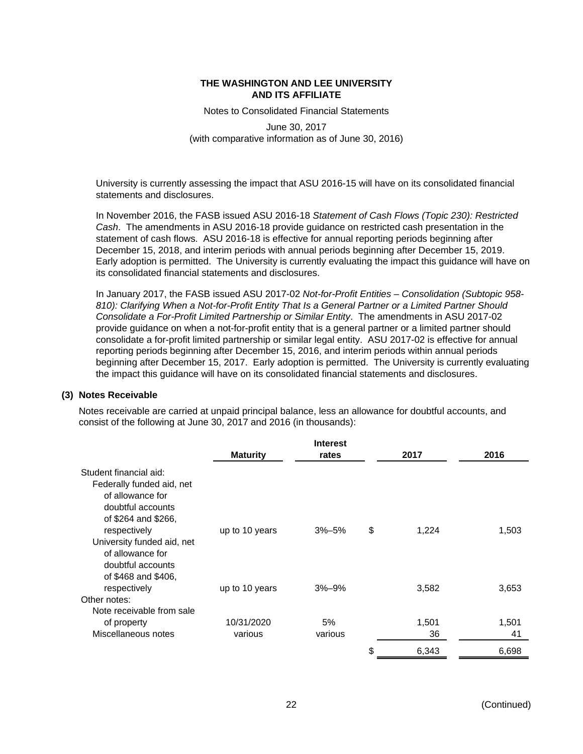Notes to Consolidated Financial Statements

June 30, 2017 (with comparative information as of June 30, 2016)

University is currently assessing the impact that ASU 2016-15 will have on its consolidated financial statements and disclosures.

In November 2016, the FASB issued ASU 2016-18 *Statement of Cash Flows (Topic 230): Restricted Cash*. The amendments in ASU 2016-18 provide guidance on restricted cash presentation in the statement of cash flows. ASU 2016-18 is effective for annual reporting periods beginning after December 15, 2018, and interim periods with annual periods beginning after December 15, 2019. Early adoption is permitted. The University is currently evaluating the impact this guidance will have on its consolidated financial statements and disclosures.

In January 2017, the FASB issued ASU 2017-02 *Not-for-Profit Entities – Consolidation (Subtopic 958- 810): Clarifying When a Not-for-Profit Entity That Is a General Partner or a Limited Partner Should Consolidate a For-Profit Limited Partnership or Similar Entity*. The amendments in ASU 2017-02 provide guidance on when a not-for-profit entity that is a general partner or a limited partner should consolidate a for-profit limited partnership or similar legal entity. ASU 2017-02 is effective for annual reporting periods beginning after December 15, 2016, and interim periods within annual periods beginning after December 15, 2017. Early adoption is permitted. The University is currently evaluating the impact this guidance will have on its consolidated financial statements and disclosures.

# **(3) Notes Receivable**

Notes receivable are carried at unpaid principal balance, less an allowance for doubtful accounts, and consist of the following at June 30, 2017 and 2016 (in thousands):

|                                       |                 | <b>Interest</b> |             |       |
|---------------------------------------|-----------------|-----------------|-------------|-------|
|                                       | <b>Maturity</b> | rates           | 2017        | 2016  |
| Student financial aid:                |                 |                 |             |       |
| Federally funded aid, net             |                 |                 |             |       |
| of allowance for                      |                 |                 |             |       |
| doubtful accounts                     |                 |                 |             |       |
| of \$264 and \$266,                   |                 |                 |             |       |
| respectively                          | up to 10 years  | $3% - 5%$       | \$<br>1,224 | 1,503 |
| University funded aid, net            |                 |                 |             |       |
| of allowance for<br>doubtful accounts |                 |                 |             |       |
| of \$468 and \$406,                   |                 |                 |             |       |
| respectively                          | up to 10 years  | $3% - 9%$       | 3,582       | 3,653 |
| Other notes:                          |                 |                 |             |       |
| Note receivable from sale             |                 |                 |             |       |
| of property                           | 10/31/2020      | 5%              | 1,501       | 1,501 |
| Miscellaneous notes                   | various         | various         | 36          | 41    |
|                                       |                 |                 | \$<br>6,343 | 6,698 |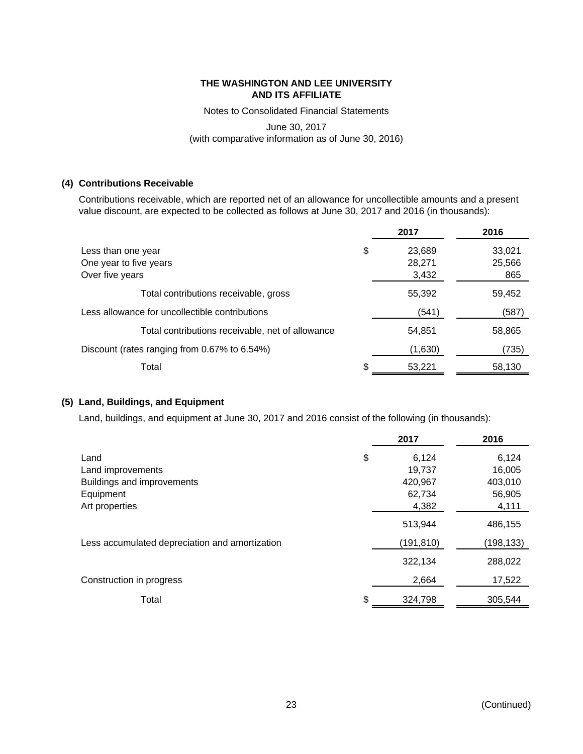Notes to Consolidated Financial Statements

# June 30, 2017 (with comparative information as of June 30, 2016)

# **(4) Contributions Receivable**

Contributions receivable, which are reported net of an allowance for uncollectible amounts and a present value discount, are expected to be collected as follows at June 30, 2017 and 2016 (in thousands):

|                                                  |    | 2017    | 2016   |
|--------------------------------------------------|----|---------|--------|
| Less than one year                               | \$ | 23,689  | 33,021 |
| One year to five years                           |    | 28,271  | 25,566 |
| Over five years                                  |    | 3,432   | 865    |
| Total contributions receivable, gross            |    | 55,392  | 59,452 |
| Less allowance for uncollectible contributions   |    | (541)   | (587)  |
| Total contributions receivable, net of allowance |    | 54,851  | 58,865 |
| Discount (rates ranging from 0.67% to 6.54%)     |    | (1,630) | (735)  |
| Total                                            | S  | 53,221  | 58,130 |

# **(5) Land, Buildings, and Equipment**

Land, buildings, and equipment at June 30, 2017 and 2016 consist of the following (in thousands):

|                                                | 2017          | 2016      |
|------------------------------------------------|---------------|-----------|
| Land                                           | \$<br>6,124   | 6,124     |
| Land improvements                              | 19,737        | 16,005    |
| Buildings and improvements                     | 420,967       | 403,010   |
| Equipment                                      | 62,734        | 56,905    |
| Art properties                                 | 4,382         | 4,111     |
|                                                | 513,944       | 486,155   |
| Less accumulated depreciation and amortization | (191, 810)    | (198,133) |
|                                                | 322,134       | 288,022   |
| Construction in progress                       | 2,664         | 17,522    |
| Total                                          | \$<br>324,798 | 305.544   |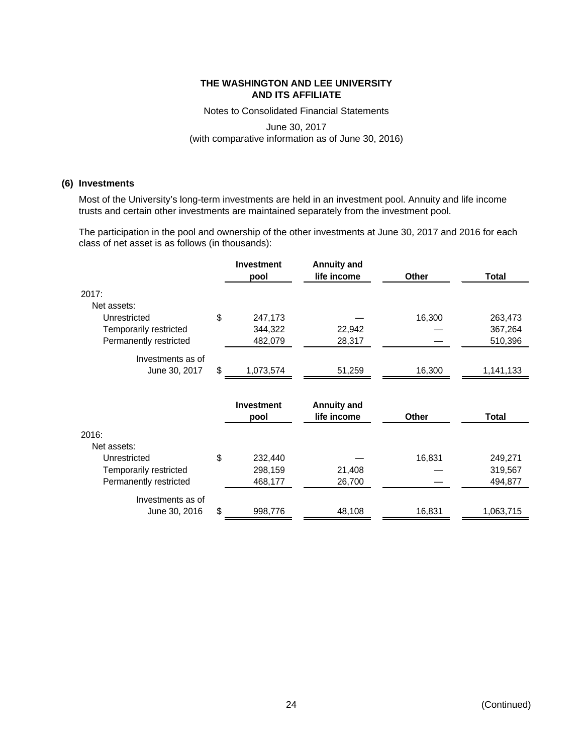Notes to Consolidated Financial Statements

June 30, 2017 (with comparative information as of June 30, 2016)

# **(6) Investments**

Most of the University's long-term investments are held in an investment pool. Annuity and life income trusts and certain other investments are maintained separately from the investment pool.

The participation in the pool and ownership of the other investments at June 30, 2017 and 2016 for each class of net asset is as follows (in thousands):

|                        |    | <b>Investment</b><br>pool | <b>Annuity and</b><br>life income | Other  | <b>Total</b> |
|------------------------|----|---------------------------|-----------------------------------|--------|--------------|
| 2017:                  |    |                           |                                   |        |              |
| Net assets:            |    |                           |                                   |        |              |
| Unrestricted           | \$ | 247,173                   |                                   | 16,300 | 263,473      |
| Temporarily restricted |    | 344,322                   | 22,942                            |        | 367,264      |
| Permanently restricted |    | 482,079                   | 28,317                            |        | 510,396      |
| Investments as of      |    |                           |                                   |        |              |
| June 30, 2017          | S  | 1,073,574                 | 51,259                            | 16,300 | 1,141,133    |
|                        |    |                           |                                   |        |              |
|                        |    | <b>Investment</b><br>pool | <b>Annuity and</b><br>life income | Other  | Total        |
| 2016:                  |    |                           |                                   |        |              |
| Net assets:            |    |                           |                                   |        |              |
| Unrestricted           | \$ | 232,440                   |                                   | 16,831 | 249,271      |
| Temporarily restricted |    | 298,159                   | 21,408                            |        | 319,567      |
| Permanently restricted |    | 468,177                   | 26,700                            |        | 494,877      |
| Investments as of      |    |                           |                                   |        |              |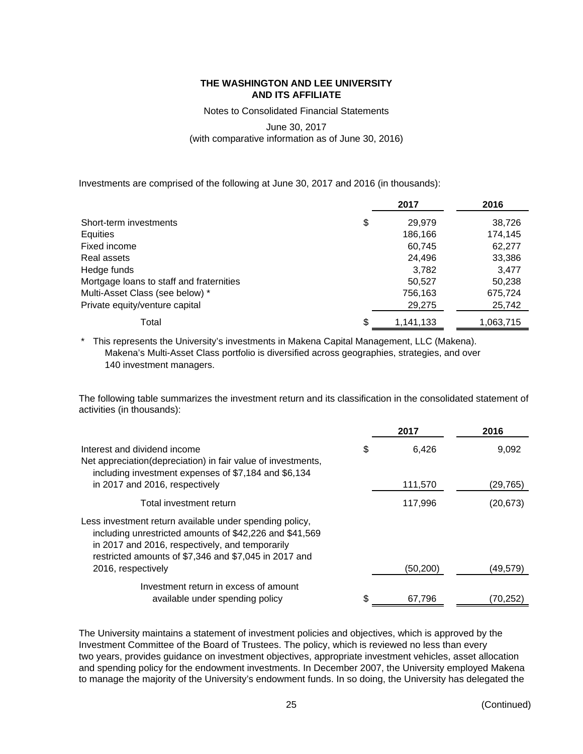Notes to Consolidated Financial Statements

June 30, 2017

(with comparative information as of June 30, 2016)

Investments are comprised of the following at June 30, 2017 and 2016 (in thousands):

|                                          | 2017            | 2016      |
|------------------------------------------|-----------------|-----------|
| Short-term investments                   | \$<br>29.979    | 38,726    |
| Equities                                 | 186,166         | 174,145   |
| Fixed income                             | 60,745          | 62,277    |
| Real assets                              | 24,496          | 33,386    |
| Hedge funds                              | 3.782           | 3.477     |
| Mortgage loans to staff and fraternities | 50,527          | 50,238    |
| Multi-Asset Class (see below) *          | 756,163         | 675,724   |
| Private equity/venture capital           | 29,275          | 25,742    |
| Total                                    | \$<br>1,141,133 | 1,063,715 |

\* This represents the University's investments in Makena Capital Management, LLC (Makena). Makena's Multi-Asset Class portfolio is diversified across geographies, strategies, and over 140 investment managers.

The following table summarizes the investment return and its classification in the consolidated statement of activities (in thousands):

|                                                                                                                                                                                                                                | 2017         | 2016      |
|--------------------------------------------------------------------------------------------------------------------------------------------------------------------------------------------------------------------------------|--------------|-----------|
| Interest and dividend income<br>Net appreciation(depreciation) in fair value of investments,<br>including investment expenses of \$7,184 and \$6,134                                                                           | \$<br>6.426  | 9,092     |
| in 2017 and 2016, respectively                                                                                                                                                                                                 | 111,570      | (29,765)  |
| Total investment return                                                                                                                                                                                                        | 117,996      | (20, 673) |
| Less investment return available under spending policy,<br>including unrestricted amounts of \$42,226 and \$41,569<br>in 2017 and 2016, respectively, and temporarily<br>restricted amounts of \$7,346 and \$7,045 in 2017 and |              |           |
| 2016, respectively                                                                                                                                                                                                             | (50, 200)    | (49,579)  |
| Investment return in excess of amount<br>available under spending policy                                                                                                                                                       | \$<br>67,796 | (70,252)  |

The University maintains a statement of investment policies and objectives, which is approved by the Investment Committee of the Board of Trustees. The policy, which is reviewed no less than every two years, provides guidance on investment objectives, appropriate investment vehicles, asset allocation and spending policy for the endowment investments. In December 2007, the University employed Makena to manage the majority of the University's endowment funds. In so doing, the University has delegated the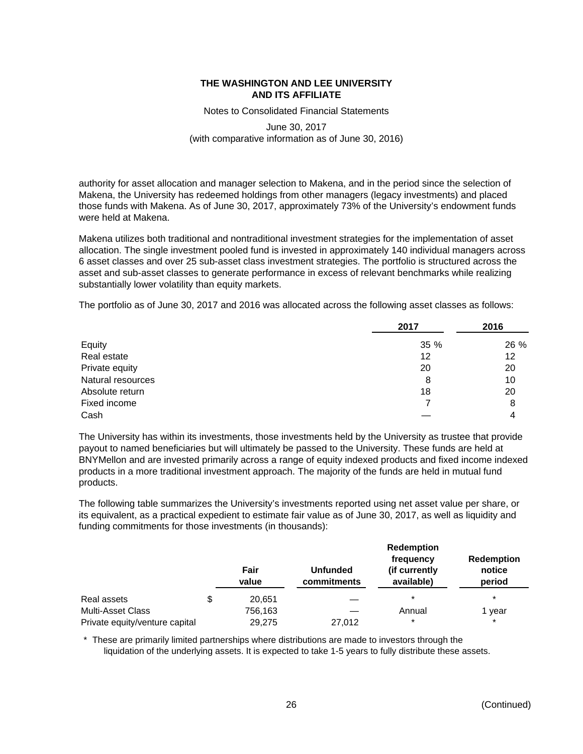Notes to Consolidated Financial Statements

# June 30, 2017 (with comparative information as of June 30, 2016)

authority for asset allocation and manager selection to Makena, and in the period since the selection of Makena, the University has redeemed holdings from other managers (legacy investments) and placed those funds with Makena. As of June 30, 2017, approximately 73% of the University's endowment funds were held at Makena.

Makena utilizes both traditional and nontraditional investment strategies for the implementation of asset allocation. The single investment pooled fund is invested in approximately 140 individual managers across 6 asset classes and over 25 sub-asset class investment strategies. The portfolio is structured across the asset and sub-asset classes to generate performance in excess of relevant benchmarks while realizing substantially lower volatility than equity markets.

The portfolio as of June 30, 2017 and 2016 was allocated across the following asset classes as follows:

|                   | 2017 | 2016 |
|-------------------|------|------|
| Equity            | 35 % | 26 % |
| Real estate       | 12   | 12   |
| Private equity    | 20   | 20   |
| Natural resources | 8    | 10   |
| Absolute return   | 18   | 20   |
| Fixed income      |      | 8    |
| Cash              |      | 4    |

The University has within its investments, those investments held by the University as trustee that provide payout to named beneficiaries but will ultimately be passed to the University. These funds are held at BNYMellon and are invested primarily across a range of equity indexed products and fixed income indexed products in a more traditional investment approach. The majority of the funds are held in mutual fund products.

The following table summarizes the University's investments reported using net asset value per share, or its equivalent, as a practical expedient to estimate fair value as of June 30, 2017, as well as liquidity and funding commitments for those investments (in thousands):

|                                | Fair<br>value | <b>Unfunded</b><br>commitments | <b>Redemption</b><br>frequency<br>(if currently)<br>available) | <b>Redemption</b><br>notice<br>period |
|--------------------------------|---------------|--------------------------------|----------------------------------------------------------------|---------------------------------------|
| Real assets                    | \$<br>20.651  |                                | $\star$                                                        | $\star$                               |
| <b>Multi-Asset Class</b>       | 756,163       |                                | Annual                                                         | year                                  |
| Private equity/venture capital | 29,275        | 27,012                         | $\ast$                                                         | $\star$                               |

\* These are primarily limited partnerships where distributions are made to investors through the liquidation of the underlying assets. It is expected to take 1-5 years to fully distribute these assets.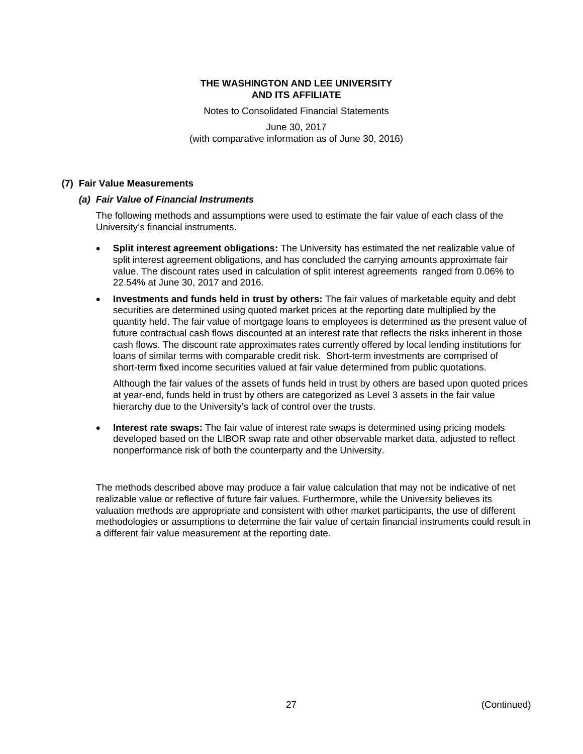Notes to Consolidated Financial Statements

June 30, 2017 (with comparative information as of June 30, 2016)

# **(7) Fair Value Measurements**

# *(a) Fair Value of Financial Instruments*

The following methods and assumptions were used to estimate the fair value of each class of the University's financial instruments.

- **Split interest agreement obligations:** The University has estimated the net realizable value of split interest agreement obligations, and has concluded the carrying amounts approximate fair value. The discount rates used in calculation of split interest agreements ranged from 0.06% to 22.54% at June 30, 2017 and 2016.
- **Investments and funds held in trust by others:** The fair values of marketable equity and debt securities are determined using quoted market prices at the reporting date multiplied by the quantity held. The fair value of mortgage loans to employees is determined as the present value of future contractual cash flows discounted at an interest rate that reflects the risks inherent in those cash flows. The discount rate approximates rates currently offered by local lending institutions for loans of similar terms with comparable credit risk. Short-term investments are comprised of short-term fixed income securities valued at fair value determined from public quotations.

Although the fair values of the assets of funds held in trust by others are based upon quoted prices at year-end, funds held in trust by others are categorized as Level 3 assets in the fair value hierarchy due to the University's lack of control over the trusts.

 **Interest rate swaps:** The fair value of interest rate swaps is determined using pricing models developed based on the LIBOR swap rate and other observable market data, adjusted to reflect nonperformance risk of both the counterparty and the University.

The methods described above may produce a fair value calculation that may not be indicative of net realizable value or reflective of future fair values. Furthermore, while the University believes its valuation methods are appropriate and consistent with other market participants, the use of different methodologies or assumptions to determine the fair value of certain financial instruments could result in a different fair value measurement at the reporting date.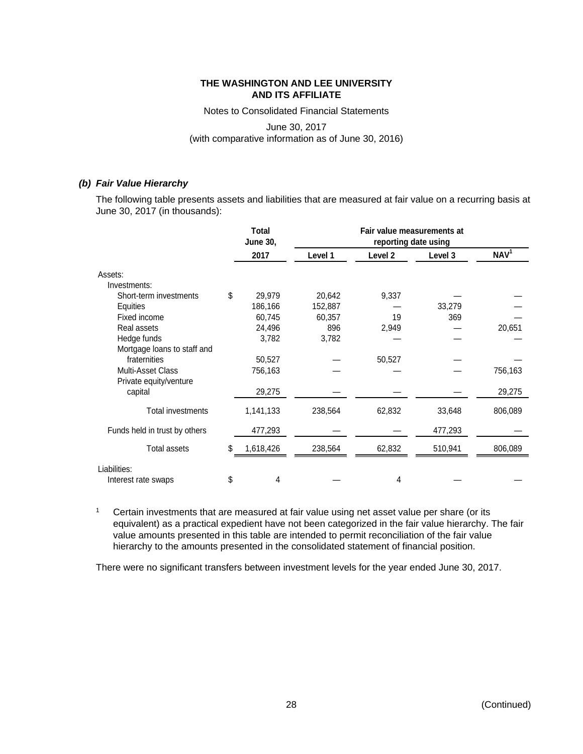Notes to Consolidated Financial Statements

# June 30, 2017 (with comparative information as of June 30, 2016)

# *(b) Fair Value Hierarchy*

The following table presents assets and liabilities that are measured at fair value on a recurring basis at June 30, 2017 (in thousands):

|                               | <b>Total</b><br><b>June 30,</b> |         | Fair value measurements at<br>reporting date using |         |                  |  |  |
|-------------------------------|---------------------------------|---------|----------------------------------------------------|---------|------------------|--|--|
|                               | 2017                            | Level 1 | Level <sub>2</sub>                                 | Level 3 | NAV <sup>1</sup> |  |  |
| Assets:                       |                                 |         |                                                    |         |                  |  |  |
| Investments:                  |                                 |         |                                                    |         |                  |  |  |
| Short-term investments        | \$<br>29,979                    | 20,642  | 9,337                                              |         |                  |  |  |
| Equities                      | 186,166                         | 152,887 |                                                    | 33,279  |                  |  |  |
| Fixed income                  | 60,745                          | 60,357  | 19                                                 | 369     |                  |  |  |
| Real assets                   | 24,496                          | 896     | 2,949                                              |         | 20,651           |  |  |
| Hedge funds                   | 3,782                           | 3,782   |                                                    |         |                  |  |  |
| Mortgage loans to staff and   |                                 |         |                                                    |         |                  |  |  |
| fraternities                  | 50,527                          |         | 50,527                                             |         |                  |  |  |
| <b>Multi-Asset Class</b>      | 756,163                         |         |                                                    |         | 756,163          |  |  |
| Private equity/venture        |                                 |         |                                                    |         |                  |  |  |
| capital                       | 29,275                          |         |                                                    |         | 29,275           |  |  |
| Total investments             | 1,141,133                       | 238,564 | 62,832                                             | 33,648  | 806,089          |  |  |
| Funds held in trust by others | 477,293                         |         |                                                    | 477,293 |                  |  |  |
| <b>Total assets</b>           | \$<br>1,618,426                 | 238,564 | 62,832                                             | 510,941 | 806,089          |  |  |
| Liabilities:                  |                                 |         |                                                    |         |                  |  |  |
| Interest rate swaps           | \$<br>4                         |         | 4                                                  |         |                  |  |  |

<sup>1</sup> Certain investments that are measured at fair value using net asset value per share (or its equivalent) as a practical expedient have not been categorized in the fair value hierarchy. The fair value amounts presented in this table are intended to permit reconciliation of the fair value hierarchy to the amounts presented in the consolidated statement of financial position.

There were no significant transfers between investment levels for the year ended June 30, 2017.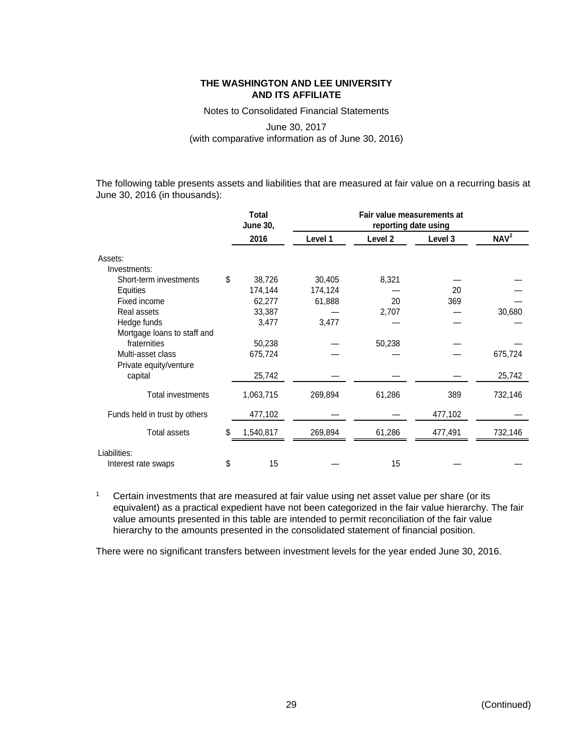Notes to Consolidated Financial Statements

# June 30, 2017 (with comparative information as of June 30, 2016)

The following table presents assets and liabilities that are measured at fair value on a recurring basis at June 30, 2016 (in thousands):

|                               | <b>Total</b><br><b>June 30,</b> | Fair value measurements at<br>reporting date using |                    |         |                  |
|-------------------------------|---------------------------------|----------------------------------------------------|--------------------|---------|------------------|
|                               | 2016                            | Level 1                                            | Level <sub>2</sub> | Level 3 | NAV <sup>1</sup> |
| Assets:                       |                                 |                                                    |                    |         |                  |
| Investments:                  |                                 |                                                    |                    |         |                  |
| Short-term investments        | \$<br>38,726                    | 30,405                                             | 8,321              |         |                  |
| Equities                      | 174,144                         | 174,124                                            |                    | 20      |                  |
| Fixed income                  | 62,277                          | 61,888                                             | 20                 | 369     |                  |
| Real assets                   | 33,387                          |                                                    | 2,707              |         | 30,680           |
| Hedge funds                   | 3,477                           | 3,477                                              |                    |         |                  |
| Mortgage loans to staff and   |                                 |                                                    |                    |         |                  |
| fraternities                  | 50,238                          |                                                    | 50,238             |         |                  |
| Multi-asset class             | 675,724                         |                                                    |                    |         | 675,724          |
| Private equity/venture        |                                 |                                                    |                    |         |                  |
| capital                       | 25,742                          |                                                    |                    |         | 25,742           |
| Total investments             | 1,063,715                       | 269,894                                            | 61,286             | 389     | 732,146          |
| Funds held in trust by others | 477,102                         |                                                    |                    | 477,102 |                  |
| <b>Total assets</b>           | \$<br>1,540,817                 | 269,894                                            | 61,286             | 477,491 | 732,146          |
| Liabilities:                  |                                 |                                                    |                    |         |                  |
| Interest rate swaps           | \$<br>15                        |                                                    | 15                 |         |                  |

<sup>1</sup> Certain investments that are measured at fair value using net asset value per share (or its equivalent) as a practical expedient have not been categorized in the fair value hierarchy. The fair value amounts presented in this table are intended to permit reconciliation of the fair value hierarchy to the amounts presented in the consolidated statement of financial position.

There were no significant transfers between investment levels for the year ended June 30, 2016.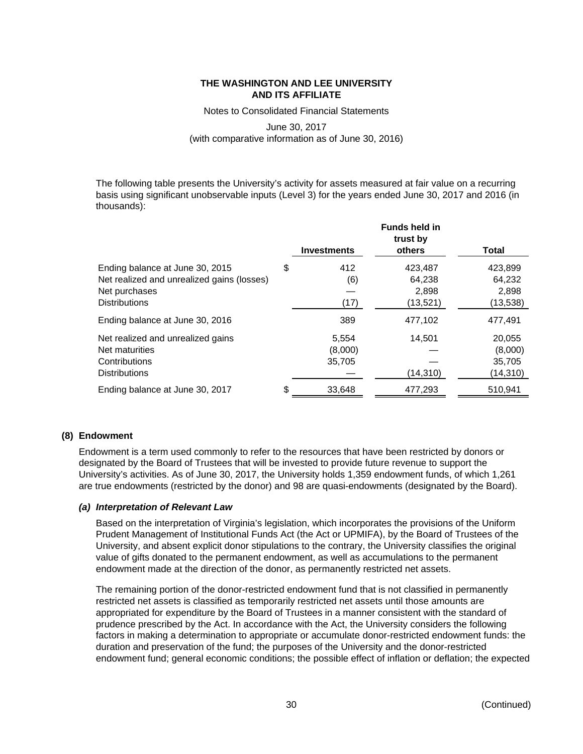Notes to Consolidated Financial Statements

# June 30, 2017 (with comparative information as of June 30, 2016)

The following table presents the University's activity for assets measured at fair value on a recurring basis using significant unobservable inputs (Level 3) for the years ended June 30, 2017 and 2016 (in thousands):

|                                                                                                                        | <b>Investments</b>         | <b>Funds held in</b><br>trust by<br>others | <b>Total</b>                            |
|------------------------------------------------------------------------------------------------------------------------|----------------------------|--------------------------------------------|-----------------------------------------|
| Ending balance at June 30, 2015<br>Net realized and unrealized gains (losses)<br>Net purchases<br><b>Distributions</b> | \$<br>412<br>(6)<br>(17)   | 423,487<br>64,238<br>2,898<br>(13, 521)    | 423,899<br>64,232<br>2,898<br>(13,538)  |
| Ending balance at June 30, 2016                                                                                        | 389                        | 477,102                                    | 477,491                                 |
| Net realized and unrealized gains<br>Net maturities<br>Contributions<br><b>Distributions</b>                           | 5,554<br>(8,000)<br>35,705 | 14,501<br>(14, 310)                        | 20,055<br>(8,000)<br>35,705<br>(14,310) |
| Ending balance at June 30, 2017                                                                                        | \$<br>33.648               | 477,293                                    | 510.941                                 |

# **(8) Endowment**

Endowment is a term used commonly to refer to the resources that have been restricted by donors or designated by the Board of Trustees that will be invested to provide future revenue to support the University's activities. As of June 30, 2017, the University holds 1,359 endowment funds, of which 1,261 are true endowments (restricted by the donor) and 98 are quasi-endowments (designated by the Board).

# *(a) Interpretation of Relevant Law*

Based on the interpretation of Virginia's legislation, which incorporates the provisions of the Uniform Prudent Management of Institutional Funds Act (the Act or UPMIFA), by the Board of Trustees of the University, and absent explicit donor stipulations to the contrary, the University classifies the original value of gifts donated to the permanent endowment, as well as accumulations to the permanent endowment made at the direction of the donor, as permanently restricted net assets.

The remaining portion of the donor-restricted endowment fund that is not classified in permanently restricted net assets is classified as temporarily restricted net assets until those amounts are appropriated for expenditure by the Board of Trustees in a manner consistent with the standard of prudence prescribed by the Act. In accordance with the Act, the University considers the following factors in making a determination to appropriate or accumulate donor-restricted endowment funds: the duration and preservation of the fund; the purposes of the University and the donor-restricted endowment fund; general economic conditions; the possible effect of inflation or deflation; the expected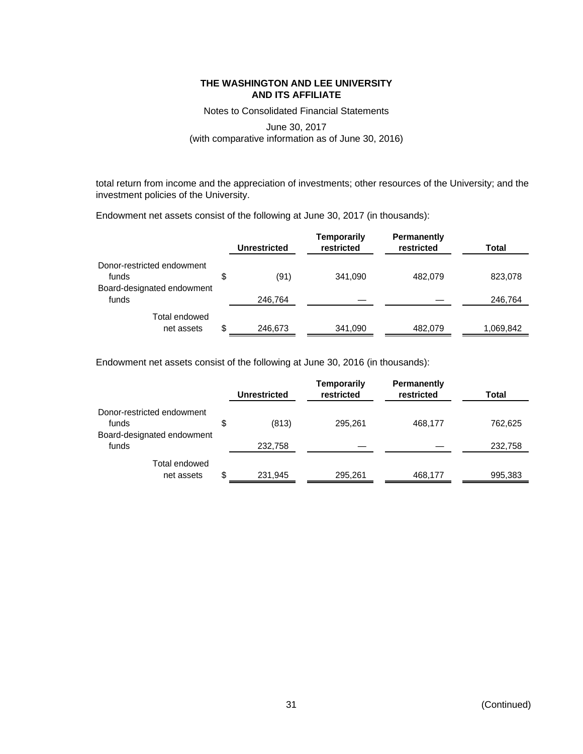Notes to Consolidated Financial Statements

# June 30, 2017 (with comparative information as of June 30, 2016)

total return from income and the appreciation of investments; other resources of the University; and the investment policies of the University.

Endowment net assets consist of the following at June 30, 2017 (in thousands):

|                                     | <b>Unrestricted</b> | <b>Temporarily</b><br>restricted | <b>Permanently</b><br>restricted | Total     |
|-------------------------------------|---------------------|----------------------------------|----------------------------------|-----------|
| Donor-restricted endowment<br>funds | \$<br>(91)          | 341,090                          | 482.079                          | 823,078   |
| Board-designated endowment<br>funds | 246,764             |                                  |                                  | 246,764   |
| Total endowed<br>net assets         | \$<br>246,673       | 341,090                          | 482.079                          | 1,069,842 |

Endowment net assets consist of the following at June 30, 2016 (in thousands):

|                                     | <b>Unrestricted</b> | <b>Temporarily</b><br>restricted | <b>Permanently</b><br>restricted | Total   |
|-------------------------------------|---------------------|----------------------------------|----------------------------------|---------|
| Donor-restricted endowment<br>funds | \$<br>(813)         | 295.261                          | 468.177                          | 762,625 |
| Board-designated endowment<br>funds | 232,758             |                                  |                                  | 232,758 |
| Total endowed<br>net assets         | \$<br>231,945       | 295,261                          | 468.177                          | 995,383 |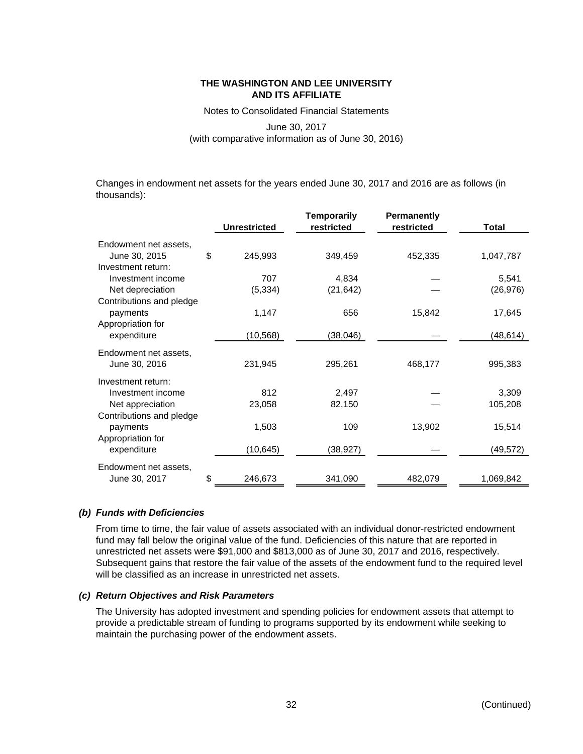Notes to Consolidated Financial Statements

# June 30, 2017 (with comparative information as of June 30, 2016)

Changes in endowment net assets for the years ended June 30, 2017 and 2016 are as follows (in thousands):

|                          |                     | <b>Temporarily</b> | <b>Permanently</b> |              |
|--------------------------|---------------------|--------------------|--------------------|--------------|
|                          | <b>Unrestricted</b> | restricted         | restricted         | <b>Total</b> |
| Endowment net assets,    |                     |                    |                    |              |
| June 30, 2015            | \$<br>245,993       | 349,459            | 452,335            | 1,047,787    |
| Investment return:       |                     |                    |                    |              |
| Investment income        | 707                 | 4,834              |                    | 5,541        |
| Net depreciation         | (5, 334)            | (21, 642)          |                    | (26, 976)    |
| Contributions and pledge |                     |                    |                    |              |
| payments                 | 1,147               | 656                | 15,842             | 17,645       |
| Appropriation for        |                     |                    |                    |              |
| expenditure              | (10, 568)           | (38, 046)          |                    | (48,614)     |
| Endowment net assets,    |                     |                    |                    |              |
| June 30, 2016            | 231,945             | 295,261            | 468,177            | 995,383      |
| Investment return:       |                     |                    |                    |              |
| Investment income        | 812                 | 2,497              |                    | 3,309        |
| Net appreciation         | 23,058              | 82,150             |                    | 105,208      |
| Contributions and pledge |                     |                    |                    |              |
| payments                 | 1,503               | 109                | 13,902             | 15,514       |
| Appropriation for        |                     |                    |                    |              |
| expenditure              | (10, 645)           | (38, 927)          |                    | (49, 572)    |
| Endowment net assets,    |                     |                    |                    |              |
| June 30, 2017            | \$<br>246,673       | 341,090            | 482,079            | 1,069,842    |

# *(b) Funds with Deficiencies*

From time to time, the fair value of assets associated with an individual donor-restricted endowment fund may fall below the original value of the fund. Deficiencies of this nature that are reported in unrestricted net assets were \$91,000 and \$813,000 as of June 30, 2017 and 2016, respectively. Subsequent gains that restore the fair value of the assets of the endowment fund to the required level will be classified as an increase in unrestricted net assets.

# *(c) Return Objectives and Risk Parameters*

The University has adopted investment and spending policies for endowment assets that attempt to provide a predictable stream of funding to programs supported by its endowment while seeking to maintain the purchasing power of the endowment assets.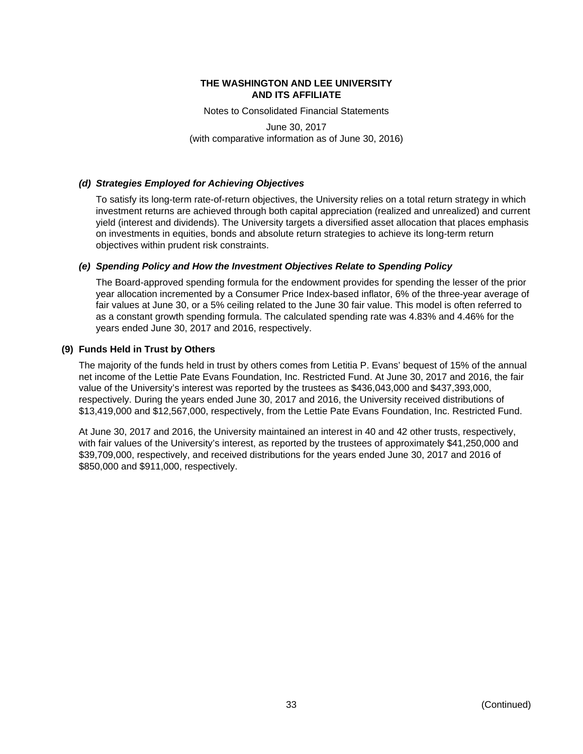Notes to Consolidated Financial Statements

June 30, 2017 (with comparative information as of June 30, 2016)

# *(d) Strategies Employed for Achieving Objectives*

To satisfy its long-term rate-of-return objectives, the University relies on a total return strategy in which investment returns are achieved through both capital appreciation (realized and unrealized) and current yield (interest and dividends). The University targets a diversified asset allocation that places emphasis on investments in equities, bonds and absolute return strategies to achieve its long-term return objectives within prudent risk constraints.

# *(e) Spending Policy and How the Investment Objectives Relate to Spending Policy*

The Board-approved spending formula for the endowment provides for spending the lesser of the prior year allocation incremented by a Consumer Price Index-based inflator, 6% of the three-year average of fair values at June 30, or a 5% ceiling related to the June 30 fair value. This model is often referred to as a constant growth spending formula. The calculated spending rate was 4.83% and 4.46% for the years ended June 30, 2017 and 2016, respectively.

# **(9) Funds Held in Trust by Others**

The majority of the funds held in trust by others comes from Letitia P. Evans' bequest of 15% of the annual net income of the Lettie Pate Evans Foundation, Inc. Restricted Fund. At June 30, 2017 and 2016, the fair value of the University's interest was reported by the trustees as \$436,043,000 and \$437,393,000, respectively. During the years ended June 30, 2017 and 2016, the University received distributions of \$13,419,000 and \$12,567,000, respectively, from the Lettie Pate Evans Foundation, Inc. Restricted Fund.

At June 30, 2017 and 2016, the University maintained an interest in 40 and 42 other trusts, respectively, with fair values of the University's interest, as reported by the trustees of approximately \$41,250,000 and \$39,709,000, respectively, and received distributions for the years ended June 30, 2017 and 2016 of \$850,000 and \$911,000, respectively.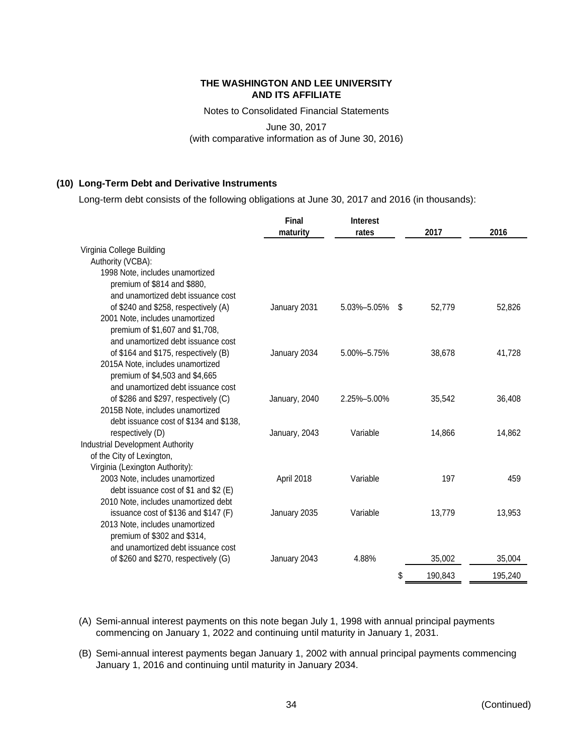Notes to Consolidated Financial Statements

June 30, 2017 (with comparative information as of June 30, 2016)

# **(10) Long-Term Debt and Derivative Instruments**

Long-term debt consists of the following obligations at June 30, 2017 and 2016 (in thousands):

|                                         | Final         | <b>Interest</b>   |    |         |         |
|-----------------------------------------|---------------|-------------------|----|---------|---------|
|                                         | maturity      | rates             |    | 2017    | 2016    |
| Virginia College Building               |               |                   |    |         |         |
| Authority (VCBA):                       |               |                   |    |         |         |
| 1998 Note, includes unamortized         |               |                   |    |         |         |
| premium of \$814 and \$880,             |               |                   |    |         |         |
| and unamortized debt issuance cost      |               |                   |    |         |         |
| of \$240 and \$258, respectively (A)    | January 2031  | 5.03%-5.05%       | -S | 52.779  | 52,826  |
| 2001 Note, includes unamortized         |               |                   |    |         |         |
| premium of \$1,607 and \$1,708,         |               |                   |    |         |         |
| and unamortized debt issuance cost      |               |                   |    |         |         |
| of \$164 and \$175, respectively (B)    | January 2034  | 5.00%-5.75%       |    | 38,678  | 41,728  |
| 2015A Note, includes unamortized        |               |                   |    |         |         |
| premium of \$4,503 and \$4,665          |               |                   |    |         |         |
| and unamortized debt issuance cost      |               |                   |    |         |         |
| of \$286 and \$297, respectively (C)    | January, 2040 | $2.25\% - 5.00\%$ |    | 35,542  | 36,408  |
| 2015B Note, includes unamortized        |               |                   |    |         |         |
| debt issuance cost of \$134 and \$138,  |               |                   |    |         |         |
| respectively (D)                        | January, 2043 | Variable          |    | 14,866  | 14,862  |
| <b>Industrial Development Authority</b> |               |                   |    |         |         |
| of the City of Lexington,               |               |                   |    |         |         |
| Virginia (Lexington Authority):         |               |                   |    |         |         |
| 2003 Note, includes unamortized         | April 2018    | Variable          |    | 197     | 459     |
| debt issuance cost of \$1 and \$2 (E)   |               |                   |    |         |         |
| 2010 Note, includes unamortized debt    |               |                   |    |         |         |
| issuance cost of \$136 and \$147 (F)    | January 2035  | Variable          |    | 13,779  | 13,953  |
| 2013 Note, includes unamortized         |               |                   |    |         |         |
| premium of \$302 and \$314,             |               |                   |    |         |         |
| and unamortized debt issuance cost      |               | 4.88%             |    |         |         |
| of \$260 and \$270, respectively (G)    | January 2043  |                   |    | 35,002  | 35,004  |
|                                         |               |                   | \$ | 190,843 | 195,240 |

- (A) Semi-annual interest payments on this note began July 1, 1998 with annual principal payments commencing on January 1, 2022 and continuing until maturity in January 1, 2031.
- (B) Semi-annual interest payments began January 1, 2002 with annual principal payments commencing January 1, 2016 and continuing until maturity in January 2034.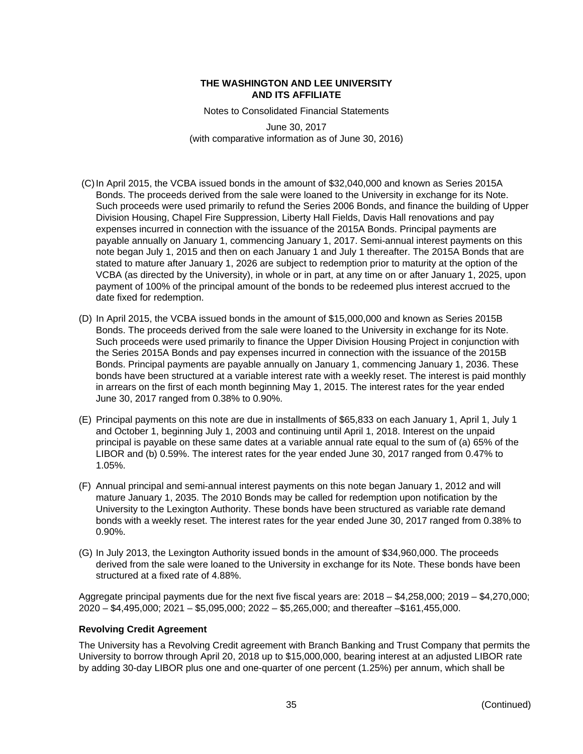Notes to Consolidated Financial Statements

June 30, 2017 (with comparative information as of June 30, 2016)

- (C) In April 2015, the VCBA issued bonds in the amount of \$32,040,000 and known as Series 2015A Bonds. The proceeds derived from the sale were loaned to the University in exchange for its Note. Such proceeds were used primarily to refund the Series 2006 Bonds, and finance the building of Upper Division Housing, Chapel Fire Suppression, Liberty Hall Fields, Davis Hall renovations and pay expenses incurred in connection with the issuance of the 2015A Bonds. Principal payments are payable annually on January 1, commencing January 1, 2017. Semi-annual interest payments on this note began July 1, 2015 and then on each January 1 and July 1 thereafter. The 2015A Bonds that are stated to mature after January 1, 2026 are subject to redemption prior to maturity at the option of the VCBA (as directed by the University), in whole or in part, at any time on or after January 1, 2025, upon payment of 100% of the principal amount of the bonds to be redeemed plus interest accrued to the date fixed for redemption.
- (D) In April 2015, the VCBA issued bonds in the amount of \$15,000,000 and known as Series 2015B Bonds. The proceeds derived from the sale were loaned to the University in exchange for its Note. Such proceeds were used primarily to finance the Upper Division Housing Project in conjunction with the Series 2015A Bonds and pay expenses incurred in connection with the issuance of the 2015B Bonds. Principal payments are payable annually on January 1, commencing January 1, 2036. These bonds have been structured at a variable interest rate with a weekly reset. The interest is paid monthly in arrears on the first of each month beginning May 1, 2015. The interest rates for the year ended June 30, 2017 ranged from 0.38% to 0.90%.
- (E) Principal payments on this note are due in installments of \$65,833 on each January 1, April 1, July 1 and October 1, beginning July 1, 2003 and continuing until April 1, 2018. Interest on the unpaid principal is payable on these same dates at a variable annual rate equal to the sum of (a) 65% of the LIBOR and (b) 0.59%. The interest rates for the year ended June 30, 2017 ranged from 0.47% to 1.05%.
- (F) Annual principal and semi-annual interest payments on this note began January 1, 2012 and will mature January 1, 2035. The 2010 Bonds may be called for redemption upon notification by the University to the Lexington Authority. These bonds have been structured as variable rate demand bonds with a weekly reset. The interest rates for the year ended June 30, 2017 ranged from 0.38% to 0.90%.
- (G) In July 2013, the Lexington Authority issued bonds in the amount of \$34,960,000. The proceeds derived from the sale were loaned to the University in exchange for its Note. These bonds have been structured at a fixed rate of 4.88%.

Aggregate principal payments due for the next five fiscal years are: 2018 – \$4,258,000; 2019 – \$4,270,000; 2020 – \$4,495,000; 2021 – \$5,095,000; 2022 – \$5,265,000; and thereafter –\$161,455,000.

# **Revolving Credit Agreement**

The University has a Revolving Credit agreement with Branch Banking and Trust Company that permits the University to borrow through April 20, 2018 up to \$15,000,000, bearing interest at an adjusted LIBOR rate by adding 30-day LIBOR plus one and one-quarter of one percent (1.25%) per annum, which shall be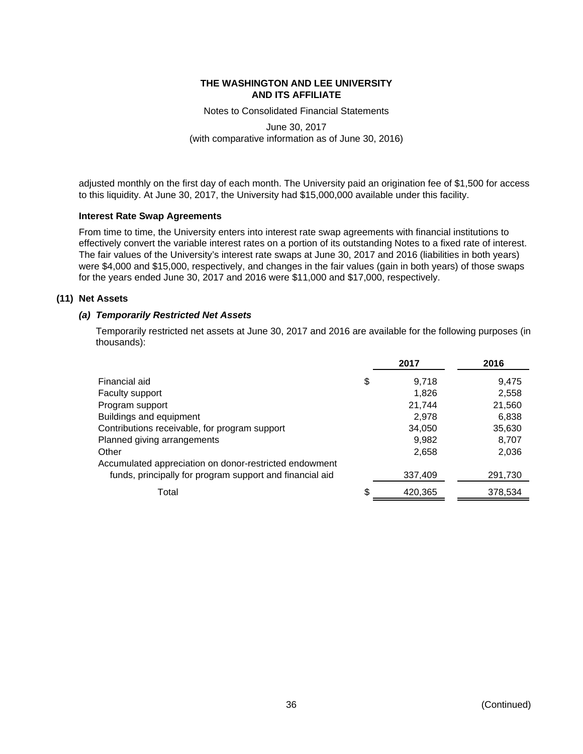Notes to Consolidated Financial Statements

June 30, 2017 (with comparative information as of June 30, 2016)

adjusted monthly on the first day of each month. The University paid an origination fee of \$1,500 for access to this liquidity. At June 30, 2017, the University had \$15,000,000 available under this facility.

# **Interest Rate Swap Agreements**

From time to time, the University enters into interest rate swap agreements with financial institutions to effectively convert the variable interest rates on a portion of its outstanding Notes to a fixed rate of interest. The fair values of the University's interest rate swaps at June 30, 2017 and 2016 (liabilities in both years) were \$4,000 and \$15,000, respectively, and changes in the fair values (gain in both years) of those swaps for the years ended June 30, 2017 and 2016 were \$11,000 and \$17,000, respectively.

# **(11) Net Assets**

# *(a) Temporarily Restricted Net Assets*

Temporarily restricted net assets at June 30, 2017 and 2016 are available for the following purposes (in thousands):

|                                                          | 2017          | 2016    |
|----------------------------------------------------------|---------------|---------|
| Financial aid                                            | \$<br>9,718   | 9,475   |
| Faculty support                                          | 1.826         | 2,558   |
| Program support                                          | 21,744        | 21,560  |
| Buildings and equipment                                  | 2,978         | 6,838   |
| Contributions receivable, for program support            | 34,050        | 35,630  |
| Planned giving arrangements                              | 9,982         | 8,707   |
| Other                                                    | 2,658         | 2,036   |
| Accumulated appreciation on donor-restricted endowment   |               |         |
| funds, principally for program support and financial aid | 337,409       | 291,730 |
| Total                                                    | \$<br>420,365 | 378,534 |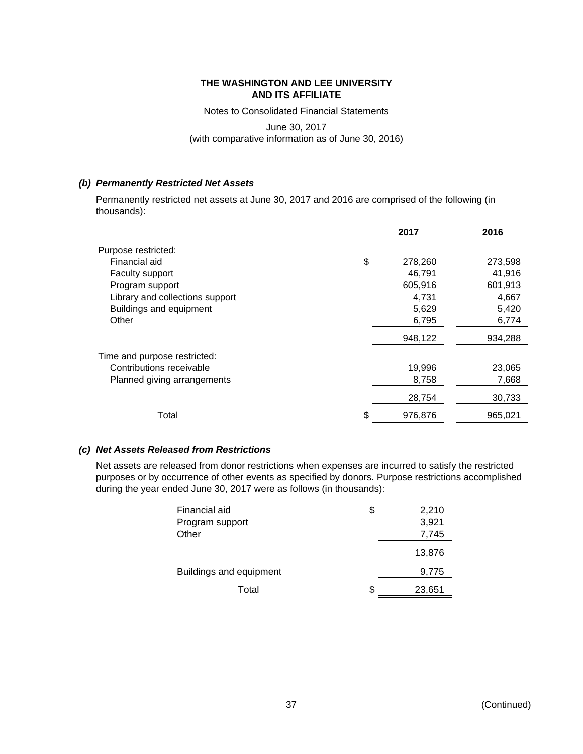Notes to Consolidated Financial Statements

June 30, 2017 (with comparative information as of June 30, 2016)

# *(b) Permanently Restricted Net Assets*

Permanently restricted net assets at June 30, 2017 and 2016 are comprised of the following (in thousands):

|                                 | 2017          | 2016    |
|---------------------------------|---------------|---------|
| Purpose restricted:             |               |         |
| Financial aid                   | \$<br>278,260 | 273,598 |
| Faculty support                 | 46,791        | 41,916  |
| Program support                 | 605,916       | 601,913 |
| Library and collections support | 4,731         | 4,667   |
| Buildings and equipment         | 5,629         | 5,420   |
| Other                           | 6,795         | 6,774   |
|                                 | 948,122       | 934,288 |
| Time and purpose restricted:    |               |         |
| Contributions receivable        | 19,996        | 23,065  |
| Planned giving arrangements     | 8,758         | 7,668   |
|                                 | 28,754        | 30,733  |
| Total                           | \$<br>976,876 | 965,021 |

# *(c) Net Assets Released from Restrictions*

Net assets are released from donor restrictions when expenses are incurred to satisfy the restricted purposes or by occurrence of other events as specified by donors. Purpose restrictions accomplished during the year ended June 30, 2017 were as follows (in thousands):

| Financial aid<br>Program support | \$ | 2,210<br>3,921 |
|----------------------------------|----|----------------|
| Other                            |    | 7,745          |
|                                  |    | 13,876         |
| <b>Buildings and equipment</b>   |    | 9,775          |
| Total                            | S  | 23,651         |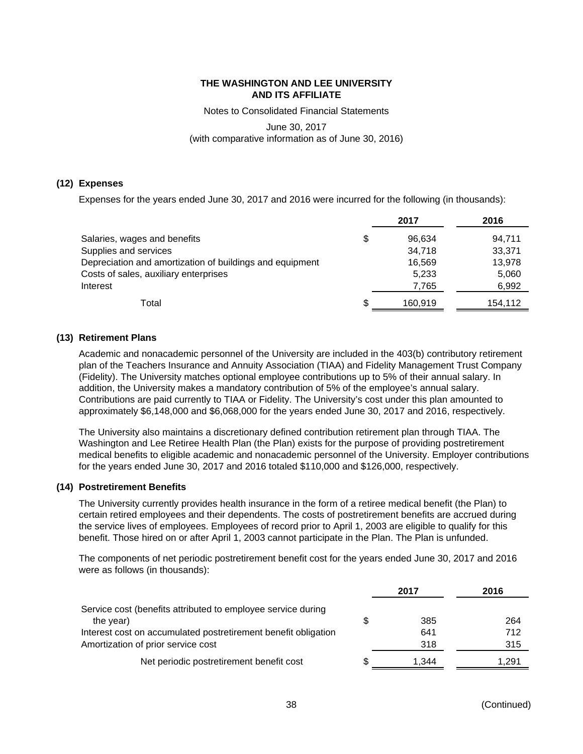Notes to Consolidated Financial Statements

June 30, 2017 (with comparative information as of June 30, 2016)

# **(12) Expenses**

Expenses for the years ended June 30, 2017 and 2016 were incurred for the following (in thousands):

|                                                          |    | 2017    | 2016    |
|----------------------------------------------------------|----|---------|---------|
| Salaries, wages and benefits                             | \$ | 96.634  | 94,711  |
| Supplies and services                                    |    | 34.718  | 33,371  |
| Depreciation and amortization of buildings and equipment |    | 16,569  | 13,978  |
| Costs of sales, auxiliary enterprises                    |    | 5,233   | 5,060   |
| Interest                                                 |    | 7,765   | 6,992   |
| Total                                                    | S  | 160.919 | 154,112 |

# **(13) Retirement Plans**

Academic and nonacademic personnel of the University are included in the 403(b) contributory retirement plan of the Teachers Insurance and Annuity Association (TIAA) and Fidelity Management Trust Company (Fidelity). The University matches optional employee contributions up to 5% of their annual salary. In addition, the University makes a mandatory contribution of 5% of the employee's annual salary. Contributions are paid currently to TIAA or Fidelity. The University's cost under this plan amounted to approximately \$6,148,000 and \$6,068,000 for the years ended June 30, 2017 and 2016, respectively.

The University also maintains a discretionary defined contribution retirement plan through TIAA. The Washington and Lee Retiree Health Plan (the Plan) exists for the purpose of providing postretirement medical benefits to eligible academic and nonacademic personnel of the University. Employer contributions for the years ended June 30, 2017 and 2016 totaled \$110,000 and \$126,000, respectively.

# **(14) Postretirement Benefits**

The University currently provides health insurance in the form of a retiree medical benefit (the Plan) to certain retired employees and their dependents. The costs of postretirement benefits are accrued during the service lives of employees. Employees of record prior to April 1, 2003 are eligible to qualify for this benefit. Those hired on or after April 1, 2003 cannot participate in the Plan. The Plan is unfunded.

The components of net periodic postretirement benefit cost for the years ended June 30, 2017 and 2016 were as follows (in thousands):

|                                                                | 2017  | 2016  |
|----------------------------------------------------------------|-------|-------|
| Service cost (benefits attributed to employee service during   |       |       |
| the year)                                                      | 385   | 264   |
| Interest cost on accumulated postretirement benefit obligation | 641   | 712   |
| Amortization of prior service cost                             | 318   | 315   |
| Net periodic postretirement benefit cost                       | 1.344 | 1.291 |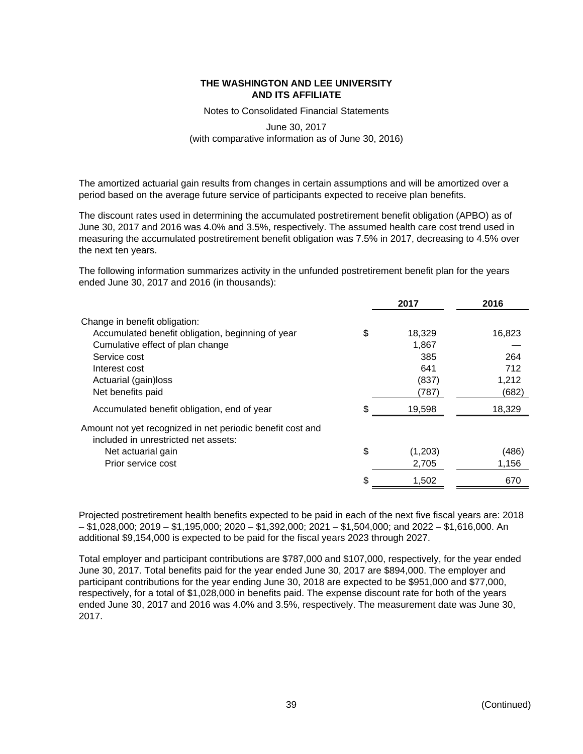Notes to Consolidated Financial Statements

# June 30, 2017 (with comparative information as of June 30, 2016)

The amortized actuarial gain results from changes in certain assumptions and will be amortized over a period based on the average future service of participants expected to receive plan benefits.

The discount rates used in determining the accumulated postretirement benefit obligation (APBO) as of June 30, 2017 and 2016 was 4.0% and 3.5%, respectively. The assumed health care cost trend used in measuring the accumulated postretirement benefit obligation was 7.5% in 2017, decreasing to 4.5% over the next ten years.

The following information summarizes activity in the unfunded postretirement benefit plan for the years ended June 30, 2017 and 2016 (in thousands):

|                                                            |    | 2017    | 2016   |
|------------------------------------------------------------|----|---------|--------|
| Change in benefit obligation:                              |    |         |        |
| Accumulated benefit obligation, beginning of year          | \$ | 18,329  | 16,823 |
| Cumulative effect of plan change                           |    | 1,867   |        |
| Service cost                                               |    | 385     | 264    |
| Interest cost                                              |    | 641     | 712    |
| Actuarial (gain)loss                                       |    | (837)   | 1,212  |
| Net benefits paid                                          |    | (787)   | (682)  |
| Accumulated benefit obligation, end of year                | \$ | 19,598  | 18,329 |
| Amount not yet recognized in net periodic benefit cost and |    |         |        |
| included in unrestricted net assets:                       |    |         |        |
| Net actuarial gain                                         | \$ | (1,203) | (486)  |
| Prior service cost                                         |    | 2,705   | 1,156  |
|                                                            | S. | 1,502   | 670    |
|                                                            |    |         |        |

Projected postretirement health benefits expected to be paid in each of the next five fiscal years are: 2018 – \$1,028,000; 2019 – \$1,195,000; 2020 – \$1,392,000; 2021 – \$1,504,000; and 2022 – \$1,616,000. An additional \$9,154,000 is expected to be paid for the fiscal years 2023 through 2027.

Total employer and participant contributions are \$787,000 and \$107,000, respectively, for the year ended June 30, 2017. Total benefits paid for the year ended June 30, 2017 are \$894,000. The employer and participant contributions for the year ending June 30, 2018 are expected to be \$951,000 and \$77,000, respectively, for a total of \$1,028,000 in benefits paid. The expense discount rate for both of the years ended June 30, 2017 and 2016 was 4.0% and 3.5%, respectively. The measurement date was June 30, 2017.